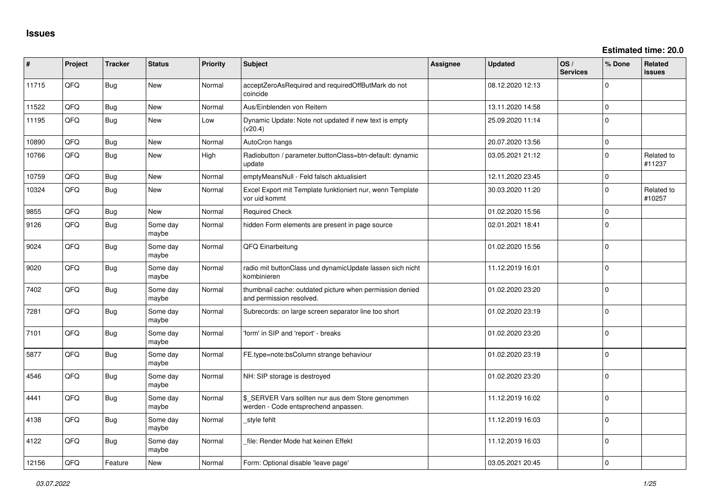**Estimated time: 20.0**

| #     | Project | <b>Tracker</b> | <b>Status</b>     | <b>Priority</b> | <b>Subject</b>                                                                            | Assignee | <b>Updated</b>   | OS/<br><b>Services</b> | % Done         | Related<br>issues    |
|-------|---------|----------------|-------------------|-----------------|-------------------------------------------------------------------------------------------|----------|------------------|------------------------|----------------|----------------------|
| 11715 | QFQ     | Bug            | <b>New</b>        | Normal          | acceptZeroAsRequired and requiredOffButMark do not<br>coincide                            |          | 08.12.2020 12:13 |                        | $\Omega$       |                      |
| 11522 | QFQ     | Bug            | <b>New</b>        | Normal          | Aus/Einblenden von Reitern                                                                |          | 13.11.2020 14:58 |                        | $\Omega$       |                      |
| 11195 | QFQ     | <b>Bug</b>     | New               | Low             | Dynamic Update: Note not updated if new text is empty<br>(v20.4)                          |          | 25.09.2020 11:14 |                        | 0              |                      |
| 10890 | QFQ     | Bug            | New               | Normal          | AutoCron hangs                                                                            |          | 20.07.2020 13:56 |                        | $\mathbf{0}$   |                      |
| 10766 | QFQ     | Bug            | New               | High            | Radiobutton / parameter.buttonClass=btn-default: dynamic<br>update                        |          | 03.05.2021 21:12 |                        | $\Omega$       | Related to<br>#11237 |
| 10759 | QFQ     | Bug            | New               | Normal          | emptyMeansNull - Feld falsch aktualisiert                                                 |          | 12.11.2020 23:45 |                        | 0              |                      |
| 10324 | QFQ     | Bug            | <b>New</b>        | Normal          | Excel Export mit Template funktioniert nur, wenn Template<br>vor uid kommt                |          | 30.03.2020 11:20 |                        | $\mathbf{0}$   | Related to<br>#10257 |
| 9855  | QFQ     | Bug            | <b>New</b>        | Normal          | <b>Required Check</b>                                                                     |          | 01.02.2020 15:56 |                        | $\overline{0}$ |                      |
| 9126  | QFQ     | Bug            | Some day<br>maybe | Normal          | hidden Form elements are present in page source                                           |          | 02.01.2021 18:41 |                        | $\Omega$       |                      |
| 9024  | QFQ     | <b>Bug</b>     | Some day<br>maybe | Normal          | QFQ Einarbeitung                                                                          |          | 01.02.2020 15:56 |                        | 0              |                      |
| 9020  | QFQ     | Bug            | Some day<br>maybe | Normal          | radio mit buttonClass und dynamicUpdate lassen sich nicht<br>kombinieren                  |          | 11.12.2019 16:01 |                        | $\Omega$       |                      |
| 7402  | QFQ     | Bug            | Some day<br>maybe | Normal          | thumbnail cache: outdated picture when permission denied<br>and permission resolved.      |          | 01.02.2020 23:20 |                        | $\Omega$       |                      |
| 7281  | QFQ     | Bug            | Some day<br>maybe | Normal          | Subrecords: on large screen separator line too short                                      |          | 01.02.2020 23:19 |                        | $\mathbf{0}$   |                      |
| 7101  | QFQ     | Bug            | Some day<br>maybe | Normal          | 'form' in SIP and 'report' - breaks                                                       |          | 01.02.2020 23:20 |                        | 0              |                      |
| 5877  | QFQ     | Bug            | Some day<br>maybe | Normal          | FE.type=note:bsColumn strange behaviour                                                   |          | 01.02.2020 23:19 |                        | $\mathbf{0}$   |                      |
| 4546  | QFQ     | Bug            | Some day<br>maybe | Normal          | NH: SIP storage is destroyed                                                              |          | 01.02.2020 23:20 |                        | $\mathbf{0}$   |                      |
| 4441  | QFQ     | Bug            | Some day<br>maybe | Normal          | \$_SERVER Vars sollten nur aus dem Store genommen<br>werden - Code entsprechend anpassen. |          | 11.12.2019 16:02 |                        | $\Omega$       |                      |
| 4138  | QFQ     | Bug            | Some day<br>maybe | Normal          | style fehlt                                                                               |          | 11.12.2019 16:03 |                        | $\Omega$       |                      |
| 4122  | QFQ     | Bug            | Some day<br>maybe | Normal          | file: Render Mode hat keinen Effekt                                                       |          | 11.12.2019 16:03 |                        | 0              |                      |
| 12156 | QFQ     | Feature        | New               | Normal          | Form: Optional disable 'leave page'                                                       |          | 03.05.2021 20:45 |                        | $\mathbf 0$    |                      |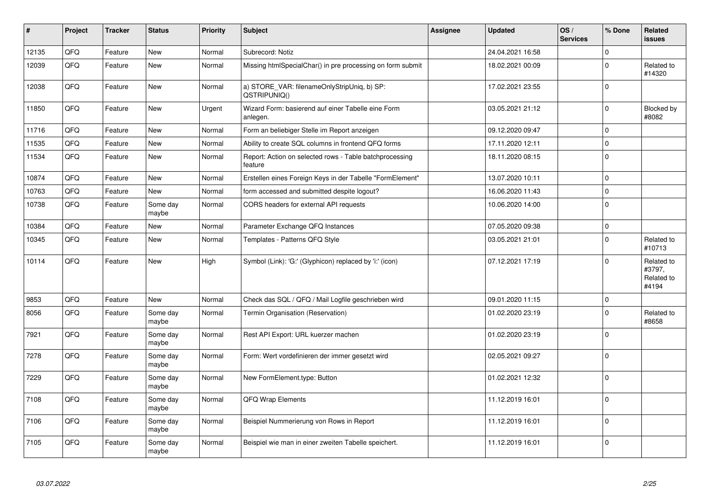| ∦     | Project | <b>Tracker</b> | <b>Status</b>     | <b>Priority</b> | <b>Subject</b>                                                     | Assignee | <b>Updated</b>   | OS/<br><b>Services</b> | % Done       | Related<br><b>issues</b>                    |
|-------|---------|----------------|-------------------|-----------------|--------------------------------------------------------------------|----------|------------------|------------------------|--------------|---------------------------------------------|
| 12135 | QFQ     | Feature        | <b>New</b>        | Normal          | Subrecord: Notiz                                                   |          | 24.04.2021 16:58 |                        | $\Omega$     |                                             |
| 12039 | QFQ     | Feature        | <b>New</b>        | Normal          | Missing htmlSpecialChar() in pre processing on form submit         |          | 18.02.2021 00:09 |                        | $\Omega$     | Related to<br>#14320                        |
| 12038 | QFQ     | Feature        | <b>New</b>        | Normal          | a) STORE_VAR: filenameOnlyStripUniq, b) SP:<br>QSTRIPUNIQ()        |          | 17.02.2021 23:55 |                        | $\Omega$     |                                             |
| 11850 | QFQ     | Feature        | <b>New</b>        | Urgent          | Wizard Form: basierend auf einer Tabelle eine Form<br>anlegen.     |          | 03.05.2021 21:12 |                        | $\mathbf 0$  | Blocked by<br>#8082                         |
| 11716 | QFQ     | Feature        | <b>New</b>        | Normal          | Form an beliebiger Stelle im Report anzeigen                       |          | 09.12.2020 09:47 |                        | $\mathbf 0$  |                                             |
| 11535 | QFQ     | Feature        | <b>New</b>        | Normal          | Ability to create SQL columns in frontend QFQ forms                |          | 17.11.2020 12:11 |                        | $\Omega$     |                                             |
| 11534 | QFQ     | Feature        | <b>New</b>        | Normal          | Report: Action on selected rows - Table batchprocessing<br>feature |          | 18.11.2020 08:15 |                        | $\Omega$     |                                             |
| 10874 | QFQ     | Feature        | <b>New</b>        | Normal          | Erstellen eines Foreign Keys in der Tabelle "FormElement"          |          | 13.07.2020 10:11 |                        | $\mathbf 0$  |                                             |
| 10763 | QFQ     | Feature        | <b>New</b>        | Normal          | form accessed and submitted despite logout?                        |          | 16.06.2020 11:43 |                        | $\mathbf 0$  |                                             |
| 10738 | QFQ     | Feature        | Some day<br>maybe | Normal          | CORS headers for external API requests                             |          | 10.06.2020 14:00 |                        | $\mathbf{0}$ |                                             |
| 10384 | QFQ     | Feature        | <b>New</b>        | Normal          | Parameter Exchange QFQ Instances                                   |          | 07.05.2020 09:38 |                        | $\mathbf 0$  |                                             |
| 10345 | QFQ     | Feature        | New               | Normal          | Templates - Patterns QFQ Style                                     |          | 03.05.2021 21:01 |                        | $\Omega$     | Related to<br>#10713                        |
| 10114 | QFQ     | Feature        | <b>New</b>        | High            | Symbol (Link): 'G:' (Glyphicon) replaced by 'i:' (icon)            |          | 07.12.2021 17:19 |                        | $\Omega$     | Related to<br>#3797,<br>Related to<br>#4194 |
| 9853  | QFQ     | Feature        | <b>New</b>        | Normal          | Check das SQL / QFQ / Mail Logfile geschrieben wird                |          | 09.01.2020 11:15 |                        | $\Omega$     |                                             |
| 8056  | QFQ     | Feature        | Some day<br>maybe | Normal          | Termin Organisation (Reservation)                                  |          | 01.02.2020 23:19 |                        | $\Omega$     | Related to<br>#8658                         |
| 7921  | QFQ     | Feature        | Some day<br>maybe | Normal          | Rest API Export: URL kuerzer machen                                |          | 01.02.2020 23:19 |                        | $\Omega$     |                                             |
| 7278  | QFQ     | Feature        | Some day<br>maybe | Normal          | Form: Wert vordefinieren der immer gesetzt wird                    |          | 02.05.2021 09:27 |                        | $\Omega$     |                                             |
| 7229  | QFQ     | Feature        | Some day<br>maybe | Normal          | New FormElement.type: Button                                       |          | 01.02.2021 12:32 |                        | $\mathbf{0}$ |                                             |
| 7108  | QFQ     | Feature        | Some day<br>maybe | Normal          | QFQ Wrap Elements                                                  |          | 11.12.2019 16:01 |                        | $\mathbf 0$  |                                             |
| 7106  | QFQ     | Feature        | Some day<br>maybe | Normal          | Beispiel Nummerierung von Rows in Report                           |          | 11.12.2019 16:01 |                        | $\Omega$     |                                             |
| 7105  | QFQ     | Feature        | Some day<br>maybe | Normal          | Beispiel wie man in einer zweiten Tabelle speichert.               |          | 11.12.2019 16:01 |                        | $\Omega$     |                                             |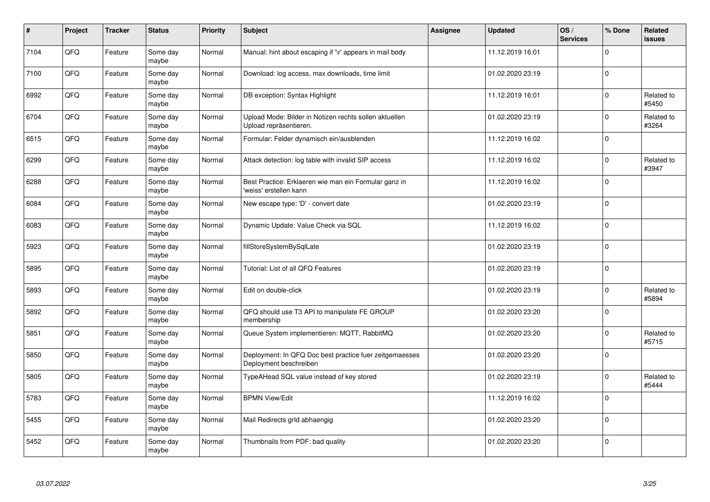| $\pmb{\#}$ | Project | <b>Tracker</b> | <b>Status</b>     | <b>Priority</b> | <b>Subject</b>                                                                    | <b>Assignee</b> | <b>Updated</b>   | OS/<br><b>Services</b> | % Done      | Related<br>issues   |
|------------|---------|----------------|-------------------|-----------------|-----------------------------------------------------------------------------------|-----------------|------------------|------------------------|-------------|---------------------|
| 7104       | QFQ     | Feature        | Some day<br>maybe | Normal          | Manual: hint about escaping if '\r' appears in mail body                          |                 | 11.12.2019 16:01 |                        | $\mathbf 0$ |                     |
| 7100       | QFQ     | Feature        | Some day<br>maybe | Normal          | Download: log access, max downloads, time limit                                   |                 | 01.02.2020 23:19 |                        | 0 l         |                     |
| 6992       | QFQ     | Feature        | Some day<br>maybe | Normal          | DB exception: Syntax Highlight                                                    |                 | 11.12.2019 16:01 |                        | $\mathbf 0$ | Related to<br>#5450 |
| 6704       | QFQ     | Feature        | Some day<br>maybe | Normal          | Upload Mode: Bilder in Notizen rechts sollen aktuellen<br>Upload repräsentieren.  |                 | 01.02.2020 23:19 |                        | $\mathbf 0$ | Related to<br>#3264 |
| 6515       | QFQ     | Feature        | Some day<br>maybe | Normal          | Formular: Felder dynamisch ein/ausblenden                                         |                 | 11.12.2019 16:02 |                        | $\mathbf 0$ |                     |
| 6299       | QFQ     | Feature        | Some day<br>maybe | Normal          | Attack detection: log table with invalid SIP access                               |                 | 11.12.2019 16:02 |                        | $\mathbf 0$ | Related to<br>#3947 |
| 6288       | QFQ     | Feature        | Some day<br>maybe | Normal          | Best Practice: Erklaeren wie man ein Formular ganz in<br>'weiss' erstellen kann   |                 | 11.12.2019 16:02 |                        | $\pmb{0}$   |                     |
| 6084       | QFQ     | Feature        | Some day<br>maybe | Normal          | New escape type: 'D' - convert date                                               |                 | 01.02.2020 23:19 |                        | $\Omega$    |                     |
| 6083       | QFQ     | Feature        | Some day<br>maybe | Normal          | Dynamic Update: Value Check via SQL                                               |                 | 11.12.2019 16:02 |                        | $\mathbf 0$ |                     |
| 5923       | QFQ     | Feature        | Some day<br>maybe | Normal          | fillStoreSystemBySqlLate                                                          |                 | 01.02.2020 23:19 |                        | $\Omega$    |                     |
| 5895       | QFQ     | Feature        | Some day<br>maybe | Normal          | Tutorial: List of all QFQ Features                                                |                 | 01.02.2020 23:19 |                        | 0           |                     |
| 5893       | QFQ     | Feature        | Some day<br>maybe | Normal          | Edit on double-click                                                              |                 | 01.02.2020 23:19 |                        | $\Omega$    | Related to<br>#5894 |
| 5892       | QFQ     | Feature        | Some day<br>maybe | Normal          | QFQ should use T3 API to manipulate FE GROUP<br>membership                        |                 | 01.02.2020 23:20 |                        | 0           |                     |
| 5851       | QFQ     | Feature        | Some day<br>maybe | Normal          | Queue System implementieren: MQTT, RabbitMQ                                       |                 | 01.02.2020 23:20 |                        | $\mathbf 0$ | Related to<br>#5715 |
| 5850       | QFQ     | Feature        | Some day<br>maybe | Normal          | Deployment: In QFQ Doc best practice fuer zeitgemaesses<br>Deployment beschreiben |                 | 01.02.2020 23:20 |                        | $\mathbf 0$ |                     |
| 5805       | QFQ     | Feature        | Some day<br>maybe | Normal          | TypeAHead SQL value instead of key stored                                         |                 | 01.02.2020 23:19 |                        | $\Omega$    | Related to<br>#5444 |
| 5783       | QFQ     | Feature        | Some day<br>maybe | Normal          | <b>BPMN View/Edit</b>                                                             |                 | 11.12.2019 16:02 |                        | $\Omega$    |                     |
| 5455       | QFQ     | Feature        | Some day<br>maybe | Normal          | Mail Redirects grld abhaengig                                                     |                 | 01.02.2020 23:20 |                        | $\mathbf 0$ |                     |
| 5452       | QFQ     | Feature        | Some day<br>maybe | Normal          | Thumbnails from PDF: bad quality                                                  |                 | 01.02.2020 23:20 |                        | $\Omega$    |                     |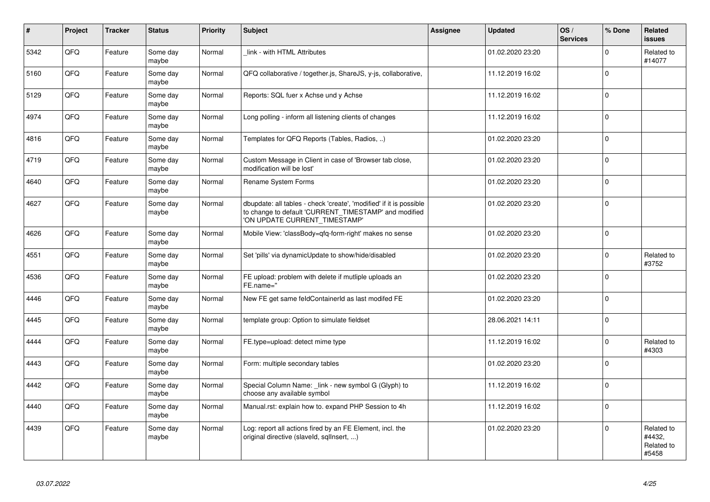| $\vert$ # | Project | <b>Tracker</b> | <b>Status</b>     | <b>Priority</b> | <b>Subject</b>                                                                                                                                                | Assignee | <b>Updated</b>   | OS/<br><b>Services</b> | % Done      | Related<br><b>issues</b>                    |
|-----------|---------|----------------|-------------------|-----------------|---------------------------------------------------------------------------------------------------------------------------------------------------------------|----------|------------------|------------------------|-------------|---------------------------------------------|
| 5342      | QFQ     | Feature        | Some day<br>maybe | Normal          | link - with HTML Attributes                                                                                                                                   |          | 01.02.2020 23:20 |                        | $\Omega$    | Related to<br>#14077                        |
| 5160      | QFQ     | Feature        | Some day<br>maybe | Normal          | QFQ collaborative / together.js, ShareJS, y-js, collaborative,                                                                                                |          | 11.12.2019 16:02 |                        | $\Omega$    |                                             |
| 5129      | QFQ     | Feature        | Some day<br>maybe | Normal          | Reports: SQL fuer x Achse und y Achse                                                                                                                         |          | 11.12.2019 16:02 |                        | $\mathbf 0$ |                                             |
| 4974      | QFQ     | Feature        | Some day<br>maybe | Normal          | Long polling - inform all listening clients of changes                                                                                                        |          | 11.12.2019 16:02 |                        | $\Omega$    |                                             |
| 4816      | QFQ     | Feature        | Some day<br>maybe | Normal          | Templates for QFQ Reports (Tables, Radios, )                                                                                                                  |          | 01.02.2020 23:20 |                        | $\Omega$    |                                             |
| 4719      | QFQ     | Feature        | Some day<br>maybe | Normal          | Custom Message in Client in case of 'Browser tab close,<br>modification will be lost'                                                                         |          | 01.02.2020 23:20 |                        | $\Omega$    |                                             |
| 4640      | QFQ     | Feature        | Some day<br>maybe | Normal          | Rename System Forms                                                                                                                                           |          | 01.02.2020 23:20 |                        | $\Omega$    |                                             |
| 4627      | QFQ     | Feature        | Some day<br>maybe | Normal          | dbupdate: all tables - check 'create', 'modified' if it is possible<br>to change to default 'CURRENT_TIMESTAMP' and modified<br>'ON UPDATE CURRENT TIMESTAMP' |          | 01.02.2020 23:20 |                        | $\Omega$    |                                             |
| 4626      | QFQ     | Feature        | Some day<br>maybe | Normal          | Mobile View: 'classBody=qfq-form-right' makes no sense                                                                                                        |          | 01.02.2020 23:20 |                        | $\Omega$    |                                             |
| 4551      | QFQ     | Feature        | Some day<br>maybe | Normal          | Set 'pills' via dynamicUpdate to show/hide/disabled                                                                                                           |          | 01.02.2020 23:20 |                        | $\Omega$    | Related to<br>#3752                         |
| 4536      | QFQ     | Feature        | Some day<br>maybe | Normal          | FE upload: problem with delete if mutliple uploads an<br>FE.name="                                                                                            |          | 01.02.2020 23:20 |                        | $\Omega$    |                                             |
| 4446      | QFQ     | Feature        | Some day<br>maybe | Normal          | New FE get same feldContainerId as last modifed FE                                                                                                            |          | 01.02.2020 23:20 |                        | $\Omega$    |                                             |
| 4445      | QFQ     | Feature        | Some day<br>maybe | Normal          | template group: Option to simulate fieldset                                                                                                                   |          | 28.06.2021 14:11 |                        | $\Omega$    |                                             |
| 4444      | QFQ     | Feature        | Some day<br>maybe | Normal          | FE.type=upload: detect mime type                                                                                                                              |          | 11.12.2019 16:02 |                        | $\Omega$    | Related to<br>#4303                         |
| 4443      | QFQ     | Feature        | Some day<br>maybe | Normal          | Form: multiple secondary tables                                                                                                                               |          | 01.02.2020 23:20 |                        | $\Omega$    |                                             |
| 4442      | QFQ     | Feature        | Some day<br>maybe | Normal          | Special Column Name: _link - new symbol G (Glyph) to<br>choose any available symbol                                                                           |          | 11.12.2019 16:02 |                        | $\Omega$    |                                             |
| 4440      | QFQ     | Feature        | Some day<br>maybe | Normal          | Manual.rst: explain how to. expand PHP Session to 4h                                                                                                          |          | 11.12.2019 16:02 |                        | $\Omega$    |                                             |
| 4439      | QFQ     | Feature        | Some day<br>maybe | Normal          | Log: report all actions fired by an FE Element, incl. the<br>original directive (slaveld, sqllnsert, )                                                        |          | 01.02.2020 23:20 |                        | $\Omega$    | Related to<br>#4432,<br>Related to<br>#5458 |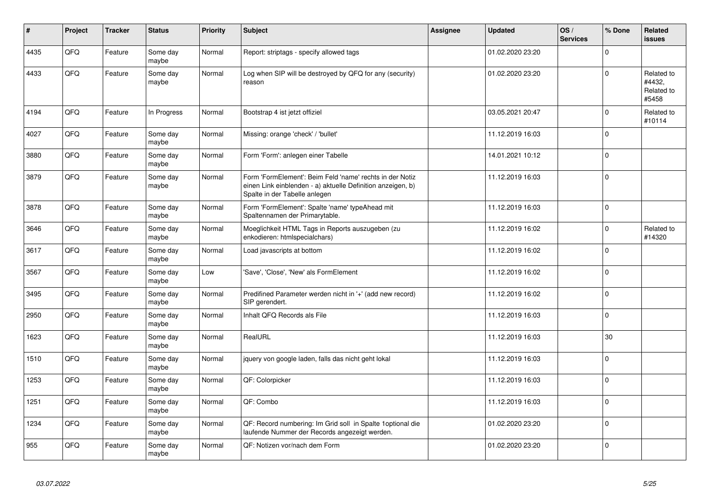| ∦    | Project | <b>Tracker</b> | <b>Status</b>     | <b>Priority</b> | <b>Subject</b>                                                                                                                                           | <b>Assignee</b> | <b>Updated</b>   | OS/<br><b>Services</b> | % Done         | Related<br><b>issues</b>                    |
|------|---------|----------------|-------------------|-----------------|----------------------------------------------------------------------------------------------------------------------------------------------------------|-----------------|------------------|------------------------|----------------|---------------------------------------------|
| 4435 | QFQ     | Feature        | Some day<br>maybe | Normal          | Report: striptags - specify allowed tags                                                                                                                 |                 | 01.02.2020 23:20 |                        | $\Omega$       |                                             |
| 4433 | QFQ     | Feature        | Some day<br>maybe | Normal          | Log when SIP will be destroyed by QFQ for any (security)<br>reason                                                                                       |                 | 01.02.2020 23:20 |                        | $\Omega$       | Related to<br>#4432,<br>Related to<br>#5458 |
| 4194 | QFQ     | Feature        | In Progress       | Normal          | Bootstrap 4 ist jetzt offiziel                                                                                                                           |                 | 03.05.2021 20:47 |                        | $\Omega$       | Related to<br>#10114                        |
| 4027 | QFQ     | Feature        | Some day<br>maybe | Normal          | Missing: orange 'check' / 'bullet'                                                                                                                       |                 | 11.12.2019 16:03 |                        | $\Omega$       |                                             |
| 3880 | QFQ     | Feature        | Some day<br>maybe | Normal          | Form 'Form': anlegen einer Tabelle                                                                                                                       |                 | 14.01.2021 10:12 |                        | $\Omega$       |                                             |
| 3879 | QFQ     | Feature        | Some day<br>maybe | Normal          | Form 'FormElement': Beim Feld 'name' rechts in der Notiz<br>einen Link einblenden - a) aktuelle Definition anzeigen, b)<br>Spalte in der Tabelle anlegen |                 | 11.12.2019 16:03 |                        | $\Omega$       |                                             |
| 3878 | QFQ     | Feature        | Some day<br>maybe | Normal          | Form 'FormElement': Spalte 'name' typeAhead mit<br>Spaltennamen der Primarytable.                                                                        |                 | 11.12.2019 16:03 |                        | $\Omega$       |                                             |
| 3646 | QFQ     | Feature        | Some day<br>maybe | Normal          | Moeglichkeit HTML Tags in Reports auszugeben (zu<br>enkodieren: htmlspecialchars)                                                                        |                 | 11.12.2019 16:02 |                        | $\Omega$       | Related to<br>#14320                        |
| 3617 | QFQ     | Feature        | Some day<br>maybe | Normal          | Load javascripts at bottom                                                                                                                               |                 | 11.12.2019 16:02 |                        | $\Omega$       |                                             |
| 3567 | QFQ     | Feature        | Some day<br>maybe | Low             | 'Save', 'Close', 'New' als FormElement                                                                                                                   |                 | 11.12.2019 16:02 |                        | $\Omega$       |                                             |
| 3495 | QFQ     | Feature        | Some day<br>maybe | Normal          | Predifined Parameter werden nicht in '+' (add new record)<br>SIP gerendert.                                                                              |                 | 11.12.2019 16:02 |                        | $\Omega$       |                                             |
| 2950 | QFQ     | Feature        | Some day<br>maybe | Normal          | Inhalt QFQ Records als File                                                                                                                              |                 | 11.12.2019 16:03 |                        | $\Omega$       |                                             |
| 1623 | QFQ     | Feature        | Some day<br>maybe | Normal          | RealURL                                                                                                                                                  |                 | 11.12.2019 16:03 |                        | 30             |                                             |
| 1510 | QFQ     | Feature        | Some day<br>maybe | Normal          | jquery von google laden, falls das nicht geht lokal                                                                                                      |                 | 11.12.2019 16:03 |                        | $\Omega$       |                                             |
| 1253 | QFQ     | Feature        | Some day<br>maybe | Normal          | QF: Colorpicker                                                                                                                                          |                 | 11.12.2019 16:03 |                        | $\overline{0}$ |                                             |
| 1251 | QFQ     | Feature        | Some day<br>maybe | Normal          | QF: Combo                                                                                                                                                |                 | 11.12.2019 16:03 |                        | $\Omega$       |                                             |
| 1234 | QFQ     | Feature        | Some day<br>maybe | Normal          | QF: Record numbering: Im Grid soll in Spalte 1 optional die<br>laufende Nummer der Records angezeigt werden.                                             |                 | 01.02.2020 23:20 |                        | $\Omega$       |                                             |
| 955  | QFQ     | Feature        | Some day<br>maybe | Normal          | QF: Notizen vor/nach dem Form                                                                                                                            |                 | 01.02.2020 23:20 |                        | $\Omega$       |                                             |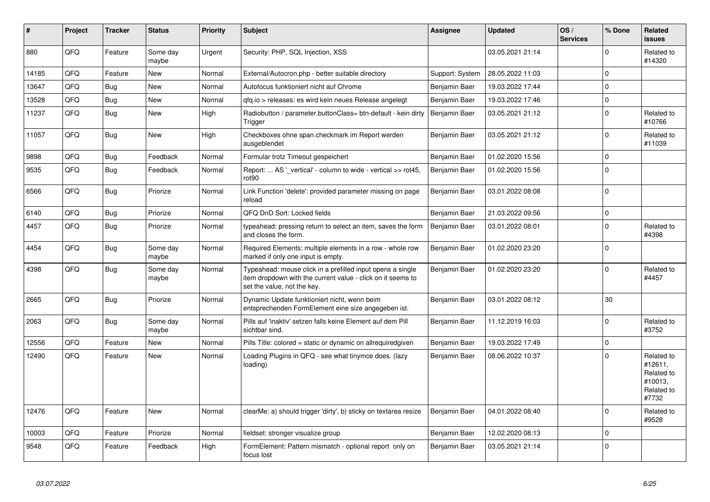| #     | Project | <b>Tracker</b> | <b>Status</b>     | <b>Priority</b> | <b>Subject</b>                                                                                                                                           | Assignee        | <b>Updated</b>   | OS/<br><b>Services</b> | % Done      | Related<br><b>issues</b>                                              |
|-------|---------|----------------|-------------------|-----------------|----------------------------------------------------------------------------------------------------------------------------------------------------------|-----------------|------------------|------------------------|-------------|-----------------------------------------------------------------------|
| 880   | QFQ     | Feature        | Some day<br>maybe | Urgent          | Security: PHP, SQL Injection, XSS                                                                                                                        |                 | 03.05.2021 21:14 |                        | $\Omega$    | Related to<br>#14320                                                  |
| 14185 | QFQ     | Feature        | <b>New</b>        | Normal          | External/Autocron.php - better suitable directory                                                                                                        | Support: System | 28.05.2022 11:03 |                        | $\mathbf 0$ |                                                                       |
| 13647 | QFQ     | Bug            | <b>New</b>        | Normal          | Autofocus funktioniert nicht auf Chrome                                                                                                                  | Benjamin Baer   | 19.03.2022 17:44 |                        | $\Omega$    |                                                                       |
| 13528 | QFQ     | <b>Bug</b>     | <b>New</b>        | Normal          | gfg.io > releases: es wird kein neues Release angelegt                                                                                                   | Benjamin Baer   | 19.03.2022 17:46 |                        | $\mathbf 0$ |                                                                       |
| 11237 | QFQ     | Bug            | New               | High            | Radiobutton / parameter.buttonClass= btn-default - kein dirty<br>Trigger                                                                                 | Benjamin Baer   | 03.05.2021 21:12 |                        | $\mathbf 0$ | Related to<br>#10766                                                  |
| 11057 | QFQ     | Bug            | <b>New</b>        | High            | Checkboxes ohne span.checkmark im Report werden<br>ausgeblendet                                                                                          | Benjamin Baer   | 03.05.2021 21:12 |                        | $\Omega$    | Related to<br>#11039                                                  |
| 9898  | QFQ     | Bug            | Feedback          | Normal          | Formular trotz Timeout gespeichert                                                                                                                       | Benjamin Baer   | 01.02.2020 15:56 |                        | $\Omega$    |                                                                       |
| 9535  | QFQ     | Bug            | Feedback          | Normal          | Report:  AS '_vertical' - column to wide - vertical >> rot45,<br>rot <sub>90</sub>                                                                       | Benjamin Baer   | 01.02.2020 15:56 |                        | $\Omega$    |                                                                       |
| 6566  | QFQ     | <b>Bug</b>     | Priorize          | Normal          | Link Function 'delete': provided parameter missing on page<br>reload                                                                                     | Benjamin Baer   | 03.01.2022 08:08 |                        | $\mathbf 0$ |                                                                       |
| 6140  | QFQ     | <b>Bug</b>     | Priorize          | Normal          | QFQ DnD Sort: Locked fields                                                                                                                              | Benjamin Baer   | 21.03.2022 09:56 |                        | $\mathbf 0$ |                                                                       |
| 4457  | QFQ     | Bug            | Priorize          | Normal          | typeahead: pressing return to select an item, saves the form<br>and closes the form.                                                                     | Benjamin Baer   | 03.01.2022 08:01 |                        | $\Omega$    | Related to<br>#4398                                                   |
| 4454  | QFQ     | <b>Bug</b>     | Some day<br>maybe | Normal          | Required Elements: multiple elements in a row - whole row<br>marked if only one input is empty.                                                          | Benjamin Baer   | 01.02.2020 23:20 |                        | $\Omega$    |                                                                       |
| 4398  | QFQ     | <b>Bug</b>     | Some day<br>maybe | Normal          | Typeahead: mouse click in a prefilled input opens a single<br>item dropdown with the current value - click on it seems to<br>set the value, not the key. | Benjamin Baer   | 01.02.2020 23:20 |                        | $\Omega$    | Related to<br>#4457                                                   |
| 2665  | QFQ     | <b>Bug</b>     | Priorize          | Normal          | Dynamic Update funktioniert nicht, wenn beim<br>entsprechenden FormElement eine size angegeben ist.                                                      | Benjamin Baer   | 03.01.2022 08:12 |                        | 30          |                                                                       |
| 2063  | QFQ     | <b>Bug</b>     | Some day<br>maybe | Normal          | Pills auf 'inaktiv' setzen falls keine Element auf dem Pill<br>sichtbar sind.                                                                            | Benjamin Baer   | 11.12.2019 16:03 |                        | $\Omega$    | Related to<br>#3752                                                   |
| 12556 | QFQ     | Feature        | <b>New</b>        | Normal          | Pills Title: colored = static or dynamic on allrequiredgiven                                                                                             | Benjamin Baer   | 19.03.2022 17:49 |                        | $\mathbf 0$ |                                                                       |
| 12490 | QFQ     | Feature        | <b>New</b>        | Normal          | Loading Plugins in QFQ - see what tinymce does. (lazy<br>loading)                                                                                        | Benjamin Baer   | 08.06.2022 10:37 |                        | $\Omega$    | Related to<br>#12611,<br>Related to<br>#10013,<br>Related to<br>#7732 |
| 12476 | QFQ     | Feature        | New               | Normal          | clearMe: a) should trigger 'dirty', b) sticky on textarea resize                                                                                         | Benjamin Baer   | 04.01.2022 08:40 |                        | $\Omega$    | Related to<br>#9528                                                   |
| 10003 | QFQ     | Feature        | Priorize          | Normal          | fieldset: stronger visualize group                                                                                                                       | Benjamin Baer   | 12.02.2020 08:13 |                        | $\Omega$    |                                                                       |
| 9548  | QFQ     | Feature        | Feedback          | High            | FormElement: Pattern mismatch - optional report only on<br>focus lost                                                                                    | Benjamin Baer   | 03.05.2021 21:14 |                        | $\Omega$    |                                                                       |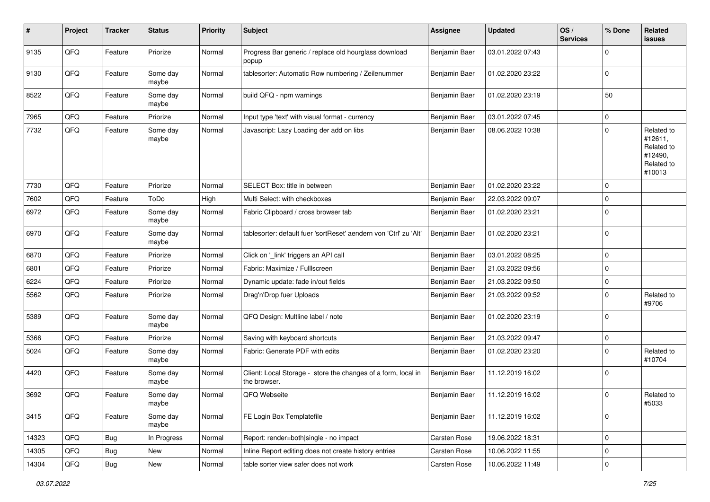| $\sharp$ | Project | <b>Tracker</b> | <b>Status</b>     | <b>Priority</b> | <b>Subject</b>                                                                | <b>Assignee</b> | <b>Updated</b>   | OS/<br><b>Services</b> | % Done      | Related<br><b>issues</b>                                               |
|----------|---------|----------------|-------------------|-----------------|-------------------------------------------------------------------------------|-----------------|------------------|------------------------|-------------|------------------------------------------------------------------------|
| 9135     | QFQ     | Feature        | Priorize          | Normal          | Progress Bar generic / replace old hourglass download<br>popup                | Benjamin Baer   | 03.01.2022 07:43 |                        | 0           |                                                                        |
| 9130     | QFQ     | Feature        | Some day<br>maybe | Normal          | tablesorter: Automatic Row numbering / Zeilenummer                            | Benjamin Baer   | 01.02.2020 23:22 |                        | 0           |                                                                        |
| 8522     | QFQ     | Feature        | Some day<br>maybe | Normal          | build QFQ - npm warnings                                                      | Benjamin Baer   | 01.02.2020 23:19 |                        | 50          |                                                                        |
| 7965     | QFQ     | Feature        | Priorize          | Normal          | Input type 'text' with visual format - currency                               | Benjamin Baer   | 03.01.2022 07:45 |                        | 0           |                                                                        |
| 7732     | QFQ     | Feature        | Some day<br>maybe | Normal          | Javascript: Lazy Loading der add on libs                                      | Benjamin Baer   | 08.06.2022 10:38 |                        | $\mathbf 0$ | Related to<br>#12611,<br>Related to<br>#12490,<br>Related to<br>#10013 |
| 7730     | QFQ     | Feature        | Priorize          | Normal          | SELECT Box: title in between                                                  | Benjamin Baer   | 01.02.2020 23:22 |                        | 0           |                                                                        |
| 7602     | QFQ     | Feature        | ToDo              | High            | Multi Select: with checkboxes                                                 | Benjamin Baer   | 22.03.2022 09:07 |                        | 0           |                                                                        |
| 6972     | QFQ     | Feature        | Some day<br>maybe | Normal          | Fabric Clipboard / cross browser tab                                          | Benjamin Baer   | 01.02.2020 23:21 |                        | $\Omega$    |                                                                        |
| 6970     | QFQ     | Feature        | Some day<br>maybe | Normal          | tablesorter: default fuer 'sortReset' aendern von 'Ctrl' zu 'Alt'             | Benjamin Baer   | 01.02.2020 23:21 |                        | $\mathbf 0$ |                                                                        |
| 6870     | QFQ     | Feature        | Priorize          | Normal          | Click on '_link' triggers an API call                                         | Benjamin Baer   | 03.01.2022 08:25 |                        | $\mathbf 0$ |                                                                        |
| 6801     | QFQ     | Feature        | Priorize          | Normal          | Fabric: Maximize / FullIscreen                                                | Benjamin Baer   | 21.03.2022 09:56 |                        | 0           |                                                                        |
| 6224     | QFQ     | Feature        | Priorize          | Normal          | Dynamic update: fade in/out fields                                            | Benjamin Baer   | 21.03.2022 09:50 |                        | 0           |                                                                        |
| 5562     | QFQ     | Feature        | Priorize          | Normal          | Drag'n'Drop fuer Uploads                                                      | Benjamin Baer   | 21.03.2022 09:52 |                        | 0           | Related to<br>#9706                                                    |
| 5389     | QFQ     | Feature        | Some day<br>maybe | Normal          | QFQ Design: Multline label / note                                             | Benjamin Baer   | 01.02.2020 23:19 |                        | 0           |                                                                        |
| 5366     | QFQ     | Feature        | Priorize          | Normal          | Saving with keyboard shortcuts                                                | Benjamin Baer   | 21.03.2022 09:47 |                        | 0           |                                                                        |
| 5024     | QFQ     | Feature        | Some day<br>maybe | Normal          | Fabric: Generate PDF with edits                                               | Benjamin Baer   | 01.02.2020 23:20 |                        | $\Omega$    | Related to<br>#10704                                                   |
| 4420     | QFQ     | Feature        | Some day<br>maybe | Normal          | Client: Local Storage - store the changes of a form, local in<br>the browser. | Benjamin Baer   | 11.12.2019 16:02 |                        | $\mathbf 0$ |                                                                        |
| 3692     | QFQ     | Feature        | Some day<br>maybe | Normal          | QFQ Webseite                                                                  | Benjamin Baer   | 11.12.2019 16:02 |                        | 0           | Related to<br>#5033                                                    |
| 3415     | QFG     | Feature        | Some day<br>maybe | Normal          | FE Login Box Templatefile                                                     | Benjamin Baer   | 11.12.2019 16:02 |                        | 0           |                                                                        |
| 14323    | QFQ     | Bug            | In Progress       | Normal          | Report: render=both single - no impact                                        | Carsten Rose    | 19.06.2022 18:31 |                        | 0           |                                                                        |
| 14305    | QFQ     | <b>Bug</b>     | New               | Normal          | Inline Report editing does not create history entries                         | Carsten Rose    | 10.06.2022 11:55 |                        | 0           |                                                                        |
| 14304    | QFG     | Bug            | New               | Normal          | table sorter view safer does not work                                         | Carsten Rose    | 10.06.2022 11:49 |                        | $\pmb{0}$   |                                                                        |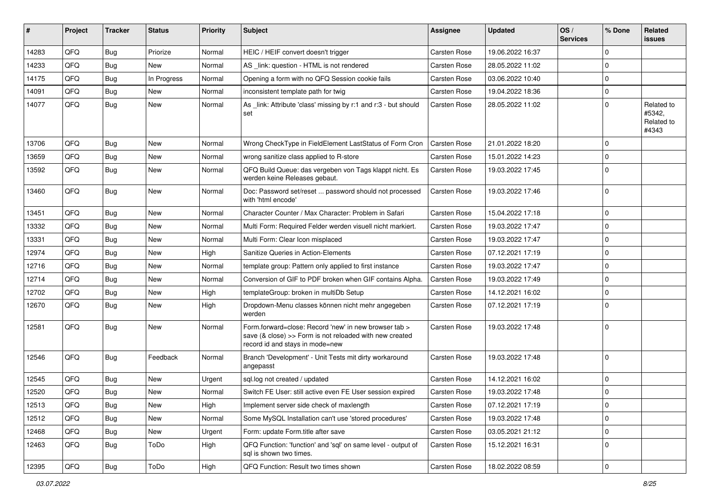| #     | Project | <b>Tracker</b> | <b>Status</b> | <b>Priority</b> | Subject                                                                                                                                             | Assignee            | <b>Updated</b>   | OS/<br><b>Services</b> | % Done      | Related<br>issues                           |
|-------|---------|----------------|---------------|-----------------|-----------------------------------------------------------------------------------------------------------------------------------------------------|---------------------|------------------|------------------------|-------------|---------------------------------------------|
| 14283 | QFQ     | Bug            | Priorize      | Normal          | HEIC / HEIF convert doesn't trigger                                                                                                                 | Carsten Rose        | 19.06.2022 16:37 |                        | $\Omega$    |                                             |
| 14233 | QFQ     | Bug            | <b>New</b>    | Normal          | AS _link: question - HTML is not rendered                                                                                                           | Carsten Rose        | 28.05.2022 11:02 |                        | $\mathbf 0$ |                                             |
| 14175 | QFQ     | Bug            | In Progress   | Normal          | Opening a form with no QFQ Session cookie fails                                                                                                     | <b>Carsten Rose</b> | 03.06.2022 10:40 |                        | $\Omega$    |                                             |
| 14091 | QFQ     | Bug            | <b>New</b>    | Normal          | inconsistent template path for twig                                                                                                                 | Carsten Rose        | 19.04.2022 18:36 |                        | $\mathbf 0$ |                                             |
| 14077 | QFQ     | <b>Bug</b>     | New           | Normal          | As _link: Attribute 'class' missing by r:1 and r:3 - but should<br>set                                                                              | <b>Carsten Rose</b> | 28.05.2022 11:02 |                        | $\Omega$    | Related to<br>#5342,<br>Related to<br>#4343 |
| 13706 | QFQ     | Bug            | <b>New</b>    | Normal          | Wrong CheckType in FieldElement LastStatus of Form Cron                                                                                             | <b>Carsten Rose</b> | 21.01.2022 18:20 |                        | $\mathbf 0$ |                                             |
| 13659 | QFQ     | Bug            | New           | Normal          | wrong sanitize class applied to R-store                                                                                                             | Carsten Rose        | 15.01.2022 14:23 |                        | $\mathbf 0$ |                                             |
| 13592 | QFQ     | Bug            | New           | Normal          | QFQ Build Queue: das vergeben von Tags klappt nicht. Es<br>werden keine Releases gebaut.                                                            | Carsten Rose        | 19.03.2022 17:45 |                        | $\Omega$    |                                             |
| 13460 | QFQ     | Bug            | New           | Normal          | Doc: Password set/reset  password should not processed<br>with 'html encode'                                                                        | Carsten Rose        | 19.03.2022 17:46 |                        | l 0         |                                             |
| 13451 | QFQ     | Bug            | <b>New</b>    | Normal          | Character Counter / Max Character: Problem in Safari                                                                                                | Carsten Rose        | 15.04.2022 17:18 |                        | $\mathbf 0$ |                                             |
| 13332 | QFQ     | Bug            | New           | Normal          | Multi Form: Required Felder werden visuell nicht markiert.                                                                                          | <b>Carsten Rose</b> | 19.03.2022 17:47 |                        | $\Omega$    |                                             |
| 13331 | QFQ     | Bug            | <b>New</b>    | Normal          | Multi Form: Clear Icon misplaced                                                                                                                    | <b>Carsten Rose</b> | 19.03.2022 17:47 |                        | $\mathbf 0$ |                                             |
| 12974 | QFQ     | Bug            | New           | High            | Sanitize Queries in Action-Elements                                                                                                                 | Carsten Rose        | 07.12.2021 17:19 |                        | $\mathbf 0$ |                                             |
| 12716 | QFQ     | Bug            | <b>New</b>    | Normal          | template group: Pattern only applied to first instance                                                                                              | Carsten Rose        | 19.03.2022 17:47 |                        | $\Omega$    |                                             |
| 12714 | QFQ     | Bug            | New           | Normal          | Conversion of GIF to PDF broken when GIF contains Alpha.                                                                                            | <b>Carsten Rose</b> | 19.03.2022 17:49 |                        | $\mathbf 0$ |                                             |
| 12702 | QFQ     | Bug            | New           | High            | templateGroup: broken in multiDb Setup                                                                                                              | <b>Carsten Rose</b> | 14.12.2021 16:02 |                        | $\mathbf 0$ |                                             |
| 12670 | QFQ     | Bug            | New           | High            | Dropdown-Menu classes können nicht mehr angegeben<br>werden                                                                                         | <b>Carsten Rose</b> | 07.12.2021 17:19 |                        | l 0         |                                             |
| 12581 | QFQ     | Bug            | New           | Normal          | Form.forward=close: Record 'new' in new browser tab ><br>save (& close) >> Form is not reloaded with new created<br>record id and stays in mode=new | <b>Carsten Rose</b> | 19.03.2022 17:48 |                        | ١o          |                                             |
| 12546 | QFQ     | Bug            | Feedback      | Normal          | Branch 'Development' - Unit Tests mit dirty workaround<br>angepasst                                                                                 | <b>Carsten Rose</b> | 19.03.2022 17:48 |                        | ١o          |                                             |
| 12545 | QFQ     | Bug            | New           | Urgent          | sql.log not created / updated                                                                                                                       | <b>Carsten Rose</b> | 14.12.2021 16:02 |                        | $\mathbf 0$ |                                             |
| 12520 | QFQ     | Bug            | New           | Normal          | Switch FE User: still active even FE User session expired                                                                                           | <b>Carsten Rose</b> | 19.03.2022 17:48 |                        | $\mathbf 0$ |                                             |
| 12513 | QFQ     | Bug            | New           | High            | Implement server side check of maxlength                                                                                                            | <b>Carsten Rose</b> | 07.12.2021 17:19 |                        | 0           |                                             |
| 12512 | QFQ     | <b>Bug</b>     | New           | Normal          | Some MySQL Installation can't use 'stored procedures'                                                                                               | Carsten Rose        | 19.03.2022 17:48 |                        | $\mathbf 0$ |                                             |
| 12468 | QFQ     | Bug            | New           | Urgent          | Form: update Form.title after save                                                                                                                  | Carsten Rose        | 03.05.2021 21:12 |                        | 0           |                                             |
| 12463 | QFQ     | <b>Bug</b>     | ToDo          | High            | QFQ Function: 'function' and 'sql' on same level - output of<br>sql is shown two times.                                                             | <b>Carsten Rose</b> | 15.12.2021 16:31 |                        | l 0         |                                             |
| 12395 | QFQ     | Bug            | ToDo          | High            | QFQ Function: Result two times shown                                                                                                                | Carsten Rose        | 18.02.2022 08:59 |                        | 0           |                                             |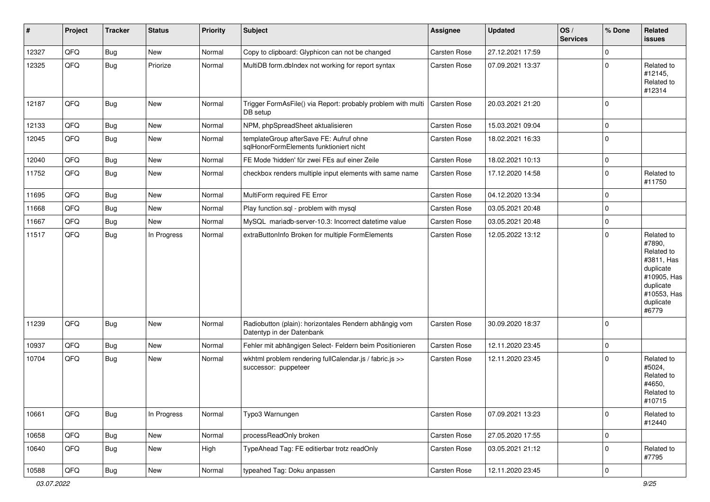| #     | Project | <b>Tracker</b> | <b>Status</b> | <b>Priority</b> | <b>Subject</b>                                                                      | <b>Assignee</b>     | <b>Updated</b>   | OS/<br><b>Services</b> | % Done         | Related<br>issues                                                                                                              |
|-------|---------|----------------|---------------|-----------------|-------------------------------------------------------------------------------------|---------------------|------------------|------------------------|----------------|--------------------------------------------------------------------------------------------------------------------------------|
| 12327 | QFQ     | Bug            | New           | Normal          | Copy to clipboard: Glyphicon can not be changed                                     | Carsten Rose        | 27.12.2021 17:59 |                        | $\Omega$       |                                                                                                                                |
| 12325 | QFQ     | Bug            | Priorize      | Normal          | MultiDB form.dblndex not working for report syntax                                  | <b>Carsten Rose</b> | 07.09.2021 13:37 |                        | $\mathbf 0$    | Related to<br>#12145,<br>Related to<br>#12314                                                                                  |
| 12187 | QFQ     | Bug            | New           | Normal          | Trigger FormAsFile() via Report: probably problem with multi<br>DB setup            | Carsten Rose        | 20.03.2021 21:20 |                        | 0              |                                                                                                                                |
| 12133 | QFQ     | Bug            | New           | Normal          | NPM, phpSpreadSheet aktualisieren                                                   | <b>Carsten Rose</b> | 15.03.2021 09:04 |                        | $\mathbf 0$    |                                                                                                                                |
| 12045 | QFQ     | <b>Bug</b>     | New           | Normal          | templateGroup afterSave FE: Aufruf ohne<br>sqlHonorFormElements funktioniert nicht  | <b>Carsten Rose</b> | 18.02.2021 16:33 |                        | $\mathbf 0$    |                                                                                                                                |
| 12040 | QFQ     | Bug            | New           | Normal          | FE Mode 'hidden' für zwei FEs auf einer Zeile                                       | Carsten Rose        | 18.02.2021 10:13 |                        | $\mathbf 0$    |                                                                                                                                |
| 11752 | QFQ     | Bug            | New           | Normal          | checkbox renders multiple input elements with same name                             | <b>Carsten Rose</b> | 17.12.2020 14:58 |                        | $\mathbf 0$    | Related to<br>#11750                                                                                                           |
| 11695 | QFQ     | Bug            | New           | Normal          | MultiForm required FE Error                                                         | Carsten Rose        | 04.12.2020 13:34 |                        | $\mathbf 0$    |                                                                                                                                |
| 11668 | QFQ     | Bug            | New           | Normal          | Play function.sql - problem with mysql                                              | <b>Carsten Rose</b> | 03.05.2021 20:48 |                        | $\mathbf 0$    |                                                                                                                                |
| 11667 | QFQ     | Bug            | New           | Normal          | MySQL mariadb-server-10.3: Incorrect datetime value                                 | <b>Carsten Rose</b> | 03.05.2021 20:48 |                        | $\mathbf 0$    |                                                                                                                                |
| 11517 | QFQ     | Bug            | In Progress   | Normal          | extraButtonInfo Broken for multiple FormElements                                    | Carsten Rose        | 12.05.2022 13:12 |                        | $\Omega$       | Related to<br>#7890,<br>Related to<br>#3811, Has<br>duplicate<br>#10905, Has<br>duplicate<br>#10553, Has<br>duplicate<br>#6779 |
| 11239 | QFQ     | <b>Bug</b>     | New           | Normal          | Radiobutton (plain): horizontales Rendern abhängig vom<br>Datentyp in der Datenbank | Carsten Rose        | 30.09.2020 18:37 |                        | 0              |                                                                                                                                |
| 10937 | QFQ     | <b>Bug</b>     | New           | Normal          | Fehler mit abhängigen Select- Feldern beim Positionieren                            | <b>Carsten Rose</b> | 12.11.2020 23:45 |                        | 0              |                                                                                                                                |
| 10704 | QFQ     | Bug            | New           | Normal          | wkhtml problem rendering fullCalendar.js / fabric.js >><br>successor: puppeteer     | <b>Carsten Rose</b> | 12.11.2020 23:45 |                        | $\mathbf 0$    | Related to<br>#5024,<br>Related to<br>#4650,<br>Related to<br>#10715                                                           |
| 10661 | QFQ     | <b>Bug</b>     | In Progress   | Normal          | Typo3 Warnungen                                                                     | Carsten Rose        | 07.09.2021 13:23 |                        | 0              | Related to<br>#12440                                                                                                           |
| 10658 | QFQ     | <b>Bug</b>     | New           | Normal          | processReadOnly broken                                                              | Carsten Rose        | 27.05.2020 17:55 |                        | $\mathbf 0$    |                                                                                                                                |
| 10640 | QFQ     | <b>Bug</b>     | New           | High            | TypeAhead Tag: FE editierbar trotz readOnly                                         | Carsten Rose        | 03.05.2021 21:12 |                        | $\mathbf 0$    | Related to<br>#7795                                                                                                            |
| 10588 | QFQ     | <b>Bug</b>     | New           | Normal          | typeahed Tag: Doku anpassen                                                         | Carsten Rose        | 12.11.2020 23:45 |                        | $\overline{0}$ |                                                                                                                                |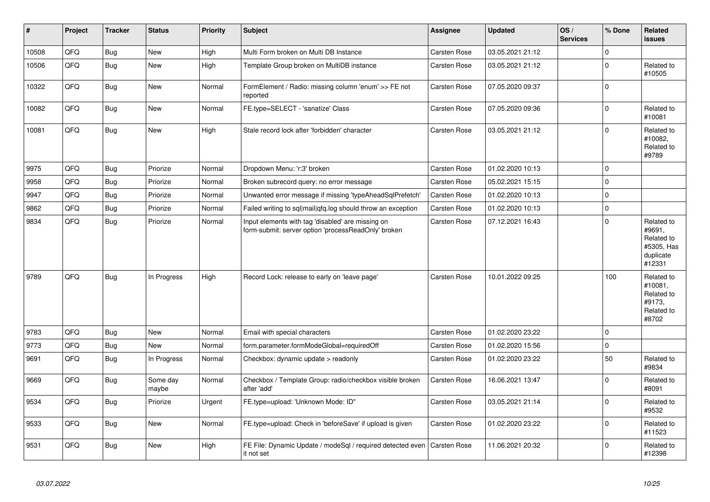| $\vert$ # | Project | <b>Tracker</b> | <b>Status</b>     | <b>Priority</b> | <b>Subject</b>                                                                                           | Assignee            | <b>Updated</b>   | OS/<br><b>Services</b> | % Done      | Related<br><b>issues</b>                                                |
|-----------|---------|----------------|-------------------|-----------------|----------------------------------------------------------------------------------------------------------|---------------------|------------------|------------------------|-------------|-------------------------------------------------------------------------|
| 10508     | QFQ     | Bug            | <b>New</b>        | High            | Multi Form broken on Multi DB Instance                                                                   | <b>Carsten Rose</b> | 03.05.2021 21:12 |                        | $\mathbf 0$ |                                                                         |
| 10506     | QFQ     | <b>Bug</b>     | <b>New</b>        | High            | Template Group broken on MultiDB instance                                                                | Carsten Rose        | 03.05.2021 21:12 |                        | $\mathbf 0$ | Related to<br>#10505                                                    |
| 10322     | QFQ     | Bug            | <b>New</b>        | Normal          | FormElement / Radio: missing column 'enum' >> FE not<br>reported                                         | Carsten Rose        | 07.05.2020 09:37 |                        | $\mathbf 0$ |                                                                         |
| 10082     | QFQ     | Bug            | <b>New</b>        | Normal          | FE.type=SELECT - 'sanatize' Class                                                                        | <b>Carsten Rose</b> | 07.05.2020 09:36 |                        | $\mathbf 0$ | Related to<br>#10081                                                    |
| 10081     | QFQ     | <b>Bug</b>     | New               | High            | Stale record lock after 'forbidden' character                                                            | Carsten Rose        | 03.05.2021 21:12 |                        | $\mathbf 0$ | Related to<br>#10082,<br>Related to<br>#9789                            |
| 9975      | QFQ     | Bug            | Priorize          | Normal          | Dropdown Menu: 'r:3' broken                                                                              | <b>Carsten Rose</b> | 01.02.2020 10:13 |                        | $\mathbf 0$ |                                                                         |
| 9958      | QFQ     | <b>Bug</b>     | Priorize          | Normal          | Broken subrecord query: no error message                                                                 | <b>Carsten Rose</b> | 05.02.2021 15:15 |                        | $\mathbf 0$ |                                                                         |
| 9947      | QFQ     | <b>Bug</b>     | Priorize          | Normal          | Unwanted error message if missing 'typeAheadSqlPrefetch'                                                 | Carsten Rose        | 01.02.2020 10:13 |                        | $\mathbf 0$ |                                                                         |
| 9862      | QFQ     | Bug            | Priorize          | Normal          | Failed writing to sql mail qfq.log should throw an exception                                             | <b>Carsten Rose</b> | 01.02.2020 10:13 |                        | $\mathbf 0$ |                                                                         |
| 9834      | QFQ     | <b>Bug</b>     | Priorize          | Normal          | Input elements with tag 'disabled' are missing on<br>form-submit: server option 'processReadOnly' broken | Carsten Rose        | 07.12.2021 16:43 |                        | $\mathbf 0$ | Related to<br>#9691,<br>Related to<br>#5305, Has<br>duplicate<br>#12331 |
| 9789      | QFQ     | <b>Bug</b>     | In Progress       | High            | Record Lock: release to early on 'leave page'                                                            | <b>Carsten Rose</b> | 10.01.2022 09:25 |                        | 100         | Related to<br>#10081,<br>Related to<br>#9173,<br>Related to<br>#8702    |
| 9783      | QFQ     | Bug            | <b>New</b>        | Normal          | Email with special characters                                                                            | <b>Carsten Rose</b> | 01.02.2020 23:22 |                        | $\mathbf 0$ |                                                                         |
| 9773      | QFQ     | <b>Bug</b>     | New               | Normal          | form.parameter.formModeGlobal=requiredOff                                                                | <b>Carsten Rose</b> | 01.02.2020 15:56 |                        | $\mathbf 0$ |                                                                         |
| 9691      | QFQ     | <b>Bug</b>     | In Progress       | Normal          | Checkbox: dynamic update > readonly                                                                      | Carsten Rose        | 01.02.2020 23:22 |                        | 50          | Related to<br>#9834                                                     |
| 9669      | QFQ     | <b>Bug</b>     | Some day<br>maybe | Normal          | Checkbox / Template Group: radio/checkbox visible broken<br>after 'add'                                  | Carsten Rose        | 16.06.2021 13:47 |                        | $\mathbf 0$ | Related to<br>#8091                                                     |
| 9534      | QFQ     | Bug            | Priorize          | Urgent          | FE.type=upload: 'Unknown Mode: ID"                                                                       | <b>Carsten Rose</b> | 03.05.2021 21:14 |                        | $\mathbf 0$ | Related to<br>#9532                                                     |
| 9533      | QFQ     | <b>Bug</b>     | <b>New</b>        | Normal          | FE.type=upload: Check in 'beforeSave' if upload is given                                                 | <b>Carsten Rose</b> | 01.02.2020 23:22 |                        | $\mathbf 0$ | Related to<br>#11523                                                    |
| 9531      | QFQ     | <b>Bug</b>     | <b>New</b>        | High            | FE File: Dynamic Update / modeSql / required detected even<br>it not set                                 | <b>Carsten Rose</b> | 11.06.2021 20:32 |                        | $\mathbf 0$ | Related to<br>#12398                                                    |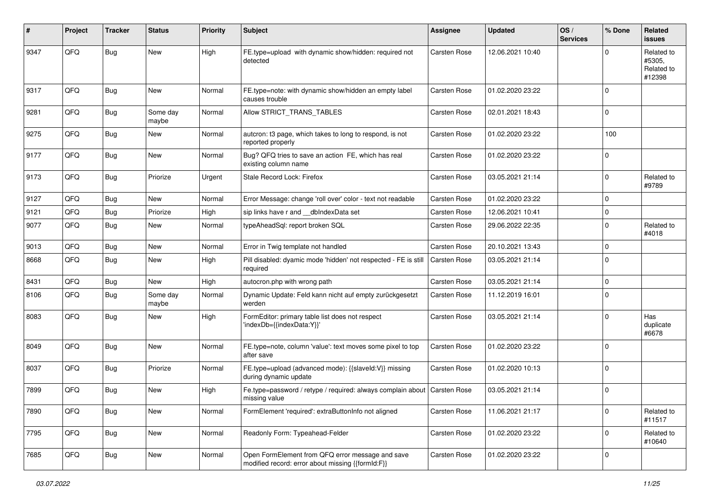| #    | Project | <b>Tracker</b> | <b>Status</b>     | <b>Priority</b> | <b>Subject</b>                                                                                        | <b>Assignee</b>     | <b>Updated</b>   | OS/<br><b>Services</b> | % Done      | <b>Related</b><br>issues                     |
|------|---------|----------------|-------------------|-----------------|-------------------------------------------------------------------------------------------------------|---------------------|------------------|------------------------|-------------|----------------------------------------------|
| 9347 | QFQ     | Bug            | <b>New</b>        | High            | FE.type=upload with dynamic show/hidden: required not<br>detected                                     | Carsten Rose        | 12.06.2021 10:40 |                        | U           | Related to<br>#5305,<br>Related to<br>#12398 |
| 9317 | QFQ     | <b>Bug</b>     | New               | Normal          | FE.type=note: with dynamic show/hidden an empty label<br>causes trouble                               | Carsten Rose        | 01.02.2020 23:22 |                        | $\Omega$    |                                              |
| 9281 | QFQ     | Bug            | Some day<br>maybe | Normal          | Allow STRICT_TRANS_TABLES                                                                             | Carsten Rose        | 02.01.2021 18:43 |                        | $\mathbf 0$ |                                              |
| 9275 | QFQ     | Bug            | <b>New</b>        | Normal          | autcron: t3 page, which takes to long to respond, is not<br>reported properly                         | <b>Carsten Rose</b> | 01.02.2020 23:22 |                        | 100         |                                              |
| 9177 | QFQ     | Bug            | <b>New</b>        | Normal          | Bug? QFQ tries to save an action FE, which has real<br>existing column name                           | Carsten Rose        | 01.02.2020 23:22 |                        | $\Omega$    |                                              |
| 9173 | QFQ     | Bug            | Priorize          | Urgent          | Stale Record Lock: Firefox                                                                            | <b>Carsten Rose</b> | 03.05.2021 21:14 |                        | $\Omega$    | Related to<br>#9789                          |
| 9127 | QFQ     | <b>Bug</b>     | New               | Normal          | Error Message: change 'roll over' color - text not readable                                           | Carsten Rose        | 01.02.2020 23:22 |                        | $\mathbf 0$ |                                              |
| 9121 | QFQ     | <b>Bug</b>     | Priorize          | High            | sip links have r and __dbIndexData set                                                                | <b>Carsten Rose</b> | 12.06.2021 10:41 |                        | $\Omega$    |                                              |
| 9077 | QFQ     | <b>Bug</b>     | New               | Normal          | typeAheadSql: report broken SQL                                                                       | Carsten Rose        | 29.06.2022 22:35 |                        | $\Omega$    | Related to<br>#4018                          |
| 9013 | QFQ     | <b>Bug</b>     | New               | Normal          | Error in Twig template not handled                                                                    | Carsten Rose        | 20.10.2021 13:43 |                        | 0           |                                              |
| 8668 | QFQ     | Bug            | <b>New</b>        | High            | Pill disabled: dyamic mode 'hidden' not respected - FE is still<br>required                           | <b>Carsten Rose</b> | 03.05.2021 21:14 |                        | $\Omega$    |                                              |
| 8431 | QFQ     | <b>Bug</b>     | <b>New</b>        | High            | autocron.php with wrong path                                                                          | Carsten Rose        | 03.05.2021 21:14 |                        | $\Omega$    |                                              |
| 8106 | QFQ     | <b>Bug</b>     | Some day<br>maybe | Normal          | Dynamic Update: Feld kann nicht auf empty zurückgesetzt<br>werden                                     | Carsten Rose        | 11.12.2019 16:01 |                        | $\mathbf 0$ |                                              |
| 8083 | QFQ     | Bug            | New               | High            | FormEditor: primary table list does not respect<br>'indexDb={{indexData:Y}}'                          | Carsten Rose        | 03.05.2021 21:14 |                        | $\Omega$    | Has<br>duplicate<br>#6678                    |
| 8049 | QFQ     | Bug            | New               | Normal          | FE.type=note, column 'value': text moves some pixel to top<br>after save                              | Carsten Rose        | 01.02.2020 23:22 |                        | $\mathbf 0$ |                                              |
| 8037 | QFQ     | <b>Bug</b>     | Priorize          | Normal          | FE.type=upload (advanced mode): {{slaveld:V}} missing<br>during dynamic update                        | Carsten Rose        | 01.02.2020 10:13 |                        | $\Omega$    |                                              |
| 7899 | QFQ     | Bug            | New               | High            | Fe.type=password / retype / required: always complain about   Carsten Rose<br>missing value           |                     | 03.05.2021 21:14 |                        | $\Omega$    |                                              |
| 7890 | QFQ     | Bug            | New               | Normal          | FormElement 'required': extraButtonInfo not aligned                                                   | Carsten Rose        | 11.06.2021 21:17 |                        | $\mathbf 0$ | Related to<br>#11517                         |
| 7795 | QFQ     | Bug            | New               | Normal          | Readonly Form: Typeahead-Felder                                                                       | Carsten Rose        | 01.02.2020 23:22 |                        | $\mathbf 0$ | Related to<br>#10640                         |
| 7685 | QFQ     | Bug            | New               | Normal          | Open FormElement from QFQ error message and save<br>modified record: error about missing {{formId:F}} | Carsten Rose        | 01.02.2020 23:22 |                        | $\mathbf 0$ |                                              |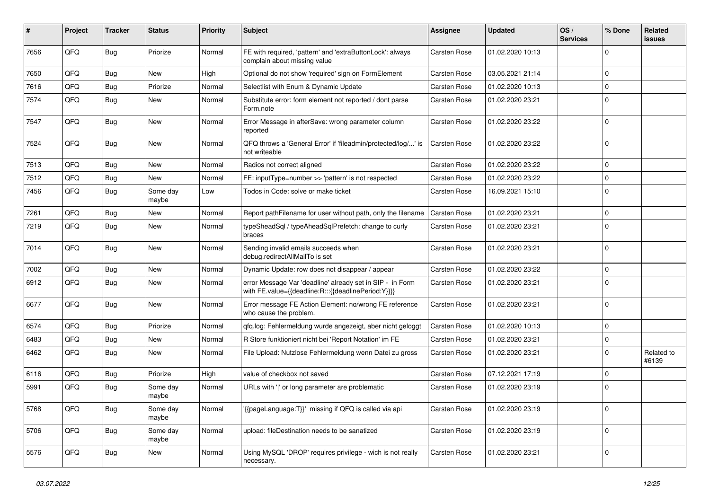| #    | Project | <b>Tracker</b> | <b>Status</b>     | <b>Priority</b> | <b>Subject</b>                                                                                                   | <b>Assignee</b>     | <b>Updated</b>   | OS/<br><b>Services</b> | % Done              | Related<br>issues   |
|------|---------|----------------|-------------------|-----------------|------------------------------------------------------------------------------------------------------------------|---------------------|------------------|------------------------|---------------------|---------------------|
| 7656 | QFQ     | Bug            | Priorize          | Normal          | FE with required, 'pattern' and 'extraButtonLock': always<br>complain about missing value                        | Carsten Rose        | 01.02.2020 10:13 |                        | 0                   |                     |
| 7650 | QFQ     | Bug            | New               | High            | Optional do not show 'required' sign on FormElement                                                              | <b>Carsten Rose</b> | 03.05.2021 21:14 |                        | $\mathbf 0$         |                     |
| 7616 | QFQ     | <b>Bug</b>     | Priorize          | Normal          | Selectlist with Enum & Dynamic Update                                                                            | <b>Carsten Rose</b> | 01.02.2020 10:13 |                        | 0                   |                     |
| 7574 | QFQ     | Bug            | New               | Normal          | Substitute error: form element not reported / dont parse<br>Form.note                                            | <b>Carsten Rose</b> | 01.02.2020 23:21 |                        | 0                   |                     |
| 7547 | QFQ     | Bug            | New               | Normal          | Error Message in afterSave: wrong parameter column<br>reported                                                   | <b>Carsten Rose</b> | 01.02.2020 23:22 |                        | $\mathbf 0$         |                     |
| 7524 | QFQ     | <b>Bug</b>     | <b>New</b>        | Normal          | QFQ throws a 'General Error' if 'fileadmin/protected/log/' is<br>not writeable                                   | <b>Carsten Rose</b> | 01.02.2020 23:22 |                        | $\mathbf 0$         |                     |
| 7513 | QFQ     | Bug            | <b>New</b>        | Normal          | Radios not correct aligned                                                                                       | <b>Carsten Rose</b> | 01.02.2020 23:22 |                        | $\mathbf 0$         |                     |
| 7512 | QFQ     | <b>Bug</b>     | New               | Normal          | FE: inputType=number >> 'pattern' is not respected                                                               | <b>Carsten Rose</b> | 01.02.2020 23:22 |                        | 0                   |                     |
| 7456 | QFQ     | <b>Bug</b>     | Some day<br>maybe | Low             | Todos in Code: solve or make ticket                                                                              | <b>Carsten Rose</b> | 16.09.2021 15:10 |                        | $\Omega$            |                     |
| 7261 | QFQ     | Bug            | <b>New</b>        | Normal          | Report pathFilename for user without path, only the filename                                                     | <b>Carsten Rose</b> | 01.02.2020 23:21 |                        | $\mathbf 0$         |                     |
| 7219 | QFQ     | Bug            | New               | Normal          | typeSheadSql / typeAheadSqlPrefetch: change to curly<br>braces                                                   | <b>Carsten Rose</b> | 01.02.2020 23:21 |                        | $\mathbf 0$         |                     |
| 7014 | QFQ     | Bug            | New               | Normal          | Sending invalid emails succeeds when<br>debug.redirectAllMailTo is set                                           | <b>Carsten Rose</b> | 01.02.2020 23:21 |                        | $\Omega$            |                     |
| 7002 | QFQ     | Bug            | New               | Normal          | Dynamic Update: row does not disappear / appear                                                                  | <b>Carsten Rose</b> | 01.02.2020 23:22 |                        | 0                   |                     |
| 6912 | QFQ     | Bug            | New               | Normal          | error Message Var 'deadline' already set in SIP - in Form<br>with FE.value={{deadline:R:::{{deadlinePeriod:Y}}}} | <b>Carsten Rose</b> | 01.02.2020 23:21 |                        | $\Omega$            |                     |
| 6677 | QFQ     | Bug            | New               | Normal          | Error message FE Action Element: no/wrong FE reference<br>who cause the problem.                                 | <b>Carsten Rose</b> | 01.02.2020 23:21 |                        | $\mathbf 0$         |                     |
| 6574 | QFQ     | Bug            | Priorize          | Normal          | qfq.log: Fehlermeldung wurde angezeigt, aber nicht geloggt                                                       | <b>Carsten Rose</b> | 01.02.2020 10:13 |                        | $\mathbf 0$         |                     |
| 6483 | QFQ     | Bug            | New               | Normal          | R Store funktioniert nicht bei 'Report Notation' im FE                                                           | <b>Carsten Rose</b> | 01.02.2020 23:21 |                        | $\mathbf 0$         |                     |
| 6462 | QFQ     | Bug            | New               | Normal          | File Upload: Nutzlose Fehlermeldung wenn Datei zu gross                                                          | <b>Carsten Rose</b> | 01.02.2020 23:21 |                        | $\Omega$            | Related to<br>#6139 |
| 6116 | QFQ     | Bug            | Priorize          | High            | value of checkbox not saved                                                                                      | <b>Carsten Rose</b> | 07.12.2021 17:19 |                        | $\mathbf 0$         |                     |
| 5991 | QFQ     | <b>Bug</b>     | Some day<br>maybe | Normal          | URLs with ' ' or long parameter are problematic                                                                  | <b>Carsten Rose</b> | 01.02.2020 23:19 |                        | $\mathbf 0$         |                     |
| 5768 | QFQ     | <b>Bug</b>     | Some day<br>maybe | Normal          | '{{pageLanguage:T}}' missing if QFQ is called via api                                                            | Carsten Rose        | 01.02.2020 23:19 |                        | $\mathsf{O}\xspace$ |                     |
| 5706 | QFQ     | <b>Bug</b>     | Some day<br>maybe | Normal          | upload: fileDestination needs to be sanatized                                                                    | Carsten Rose        | 01.02.2020 23:19 |                        | $\mathbf 0$         |                     |
| 5576 | QFQ     | <b>Bug</b>     | New               | Normal          | Using MySQL 'DROP' requires privilege - wich is not really<br>necessary.                                         | Carsten Rose        | 01.02.2020 23:21 |                        | $\mathbf 0$         |                     |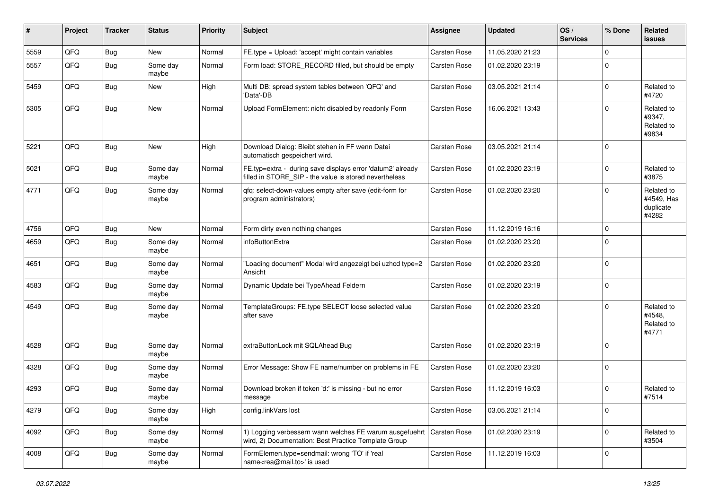| $\sharp$ | Project | <b>Tracker</b> | <b>Status</b>     | <b>Priority</b> | <b>Subject</b>                                                                                                       | <b>Assignee</b>     | <b>Updated</b>   | OS/<br><b>Services</b> | % Done      | Related<br>issues                              |
|----------|---------|----------------|-------------------|-----------------|----------------------------------------------------------------------------------------------------------------------|---------------------|------------------|------------------------|-------------|------------------------------------------------|
| 5559     | QFQ     | Bug            | New               | Normal          | FE.type = Upload: 'accept' might contain variables                                                                   | Carsten Rose        | 11.05.2020 21:23 |                        | $\Omega$    |                                                |
| 5557     | QFQ     | Bug            | Some day<br>maybe | Normal          | Form load: STORE_RECORD filled, but should be empty                                                                  | <b>Carsten Rose</b> | 01.02.2020 23:19 |                        | $\Omega$    |                                                |
| 5459     | QFQ     | Bug            | New               | High            | Multi DB: spread system tables between 'QFQ' and<br>'Data'-DB                                                        | Carsten Rose        | 03.05.2021 21:14 |                        | $\mathbf 0$ | Related to<br>#4720                            |
| 5305     | QFQ     | Bug            | <b>New</b>        | Normal          | Upload FormElement: nicht disabled by readonly Form                                                                  | <b>Carsten Rose</b> | 16.06.2021 13:43 |                        | $\Omega$    | Related to<br>#9347,<br>Related to<br>#9834    |
| 5221     | QFQ     | Bug            | New               | High            | Download Dialog: Bleibt stehen in FF wenn Datei<br>automatisch gespeichert wird.                                     | Carsten Rose        | 03.05.2021 21:14 |                        | 0           |                                                |
| 5021     | QFQ     | <b>Bug</b>     | Some day<br>maybe | Normal          | FE.typ=extra - during save displays error 'datum2' already<br>filled in STORE_SIP - the value is stored nevertheless | <b>Carsten Rose</b> | 01.02.2020 23:19 |                        | $\mathbf 0$ | Related to<br>#3875                            |
| 4771     | QFQ     | Bug            | Some day<br>maybe | Normal          | qfq: select-down-values empty after save (edit-form for<br>program administrators)                                   | <b>Carsten Rose</b> | 01.02.2020 23:20 |                        | $\Omega$    | Related to<br>#4549, Has<br>duplicate<br>#4282 |
| 4756     | QFQ     | Bug            | New               | Normal          | Form dirty even nothing changes                                                                                      | Carsten Rose        | 11.12.2019 16:16 |                        | $\mathbf 0$ |                                                |
| 4659     | QFQ     | <b>Bug</b>     | Some day<br>maybe | Normal          | infoButtonExtra                                                                                                      | <b>Carsten Rose</b> | 01.02.2020 23:20 |                        | $\Omega$    |                                                |
| 4651     | QFQ     | Bug            | Some day<br>maybe | Normal          | 'Loading document" Modal wird angezeigt bei uzhcd type=2<br>Ansicht                                                  | <b>Carsten Rose</b> | 01.02.2020 23:20 |                        | 0           |                                                |
| 4583     | QFQ     | Bug            | Some day<br>maybe | Normal          | Dynamic Update bei TypeAhead Feldern                                                                                 | Carsten Rose        | 01.02.2020 23:19 |                        | 0           |                                                |
| 4549     | QFQ     | Bug            | Some day<br>maybe | Normal          | TemplateGroups: FE.type SELECT loose selected value<br>after save                                                    | <b>Carsten Rose</b> | 01.02.2020 23:20 |                        | $\Omega$    | Related to<br>#4548.<br>Related to<br>#4771    |
| 4528     | QFQ     | Bug            | Some day<br>maybe | Normal          | extraButtonLock mit SQLAhead Bug                                                                                     | Carsten Rose        | 01.02.2020 23:19 |                        | 0           |                                                |
| 4328     | QFQ     | <b>Bug</b>     | Some day<br>maybe | Normal          | Error Message: Show FE name/number on problems in FE                                                                 | Carsten Rose        | 01.02.2020 23:20 |                        | 0           |                                                |
| 4293     | QFQ     | <b>Bug</b>     | Some day<br>maybe | Normal          | Download broken if token 'd:' is missing - but no error<br>message                                                   | <b>Carsten Rose</b> | 11.12.2019 16:03 |                        | $\Omega$    | Related to<br>#7514                            |
| 4279     | QFQ     | <b>Bug</b>     | Some day<br>maybe | High            | config.linkVars lost                                                                                                 | Carsten Rose        | 03.05.2021 21:14 |                        | 0           |                                                |
| 4092     | QFQ     | <b>Bug</b>     | Some day<br>maybe | Normal          | 1) Logging verbessern wann welches FE warum ausgefuehrt<br>wird, 2) Documentation: Best Practice Template Group      | <b>Carsten Rose</b> | 01.02.2020 23:19 |                        | 0           | Related to<br>#3504                            |
| 4008     | QFQ     | <b>Bug</b>     | Some day<br>maybe | Normal          | FormElemen.type=sendmail: wrong 'TO' if 'real<br>name <rea@mail.to>' is used</rea@mail.to>                           | Carsten Rose        | 11.12.2019 16:03 |                        | $\mathbf 0$ |                                                |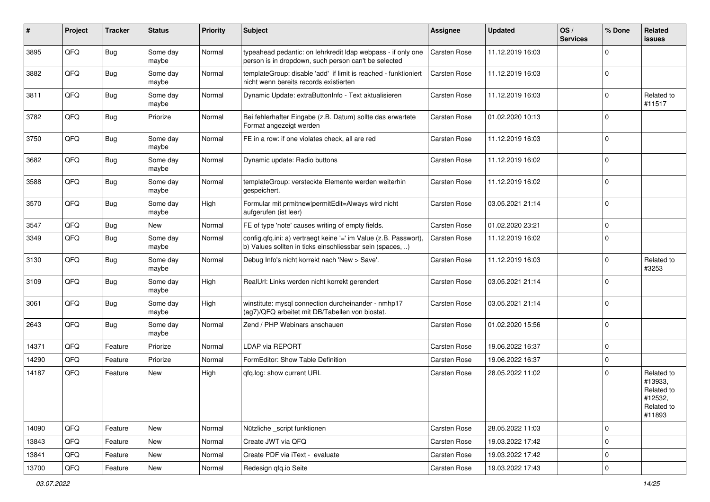| ∦     | Project | <b>Tracker</b> | <b>Status</b>     | <b>Priority</b> | Subject                                                                                                                       | Assignee            | <b>Updated</b>   | OS/<br><b>Services</b> | % Done      | Related<br>issues                                                      |
|-------|---------|----------------|-------------------|-----------------|-------------------------------------------------------------------------------------------------------------------------------|---------------------|------------------|------------------------|-------------|------------------------------------------------------------------------|
| 3895  | QFQ     | Bug            | Some day<br>maybe | Normal          | typeahead pedantic: on lehrkredit Idap webpass - if only one<br>person is in dropdown, such person can't be selected          | <b>Carsten Rose</b> | 11.12.2019 16:03 |                        | $\Omega$    |                                                                        |
| 3882  | QFQ     | Bug            | Some day<br>maybe | Normal          | templateGroup: disable 'add' if limit is reached - funktioniert<br>nicht wenn bereits records existierten                     | <b>Carsten Rose</b> | 11.12.2019 16:03 |                        | $\Omega$    |                                                                        |
| 3811  | QFQ     | Bug            | Some day<br>maybe | Normal          | Dynamic Update: extraButtonInfo - Text aktualisieren                                                                          | <b>Carsten Rose</b> | 11.12.2019 16:03 |                        | $\Omega$    | Related to<br>#11517                                                   |
| 3782  | QFQ     | Bug            | Priorize          | Normal          | Bei fehlerhafter Eingabe (z.B. Datum) sollte das erwartete<br>Format angezeigt werden                                         | <b>Carsten Rose</b> | 01.02.2020 10:13 |                        | $\Omega$    |                                                                        |
| 3750  | QFQ     | <b>Bug</b>     | Some day<br>maybe | Normal          | FE in a row: if one violates check, all are red                                                                               | <b>Carsten Rose</b> | 11.12.2019 16:03 |                        | $\Omega$    |                                                                        |
| 3682  | QFQ     | Bug            | Some day<br>maybe | Normal          | Dynamic update: Radio buttons                                                                                                 | Carsten Rose        | 11.12.2019 16:02 |                        | $\Omega$    |                                                                        |
| 3588  | QFQ     | Bug            | Some day<br>maybe | Normal          | templateGroup: versteckte Elemente werden weiterhin<br>gespeichert.                                                           | Carsten Rose        | 11.12.2019 16:02 |                        | $\Omega$    |                                                                        |
| 3570  | QFQ     | Bug            | Some day<br>maybe | High            | Formular mit prmitnew permitEdit=Always wird nicht<br>aufgerufen (ist leer)                                                   | Carsten Rose        | 03.05.2021 21:14 |                        | $\mathbf 0$ |                                                                        |
| 3547  | QFQ     | <b>Bug</b>     | New               | Normal          | FE of type 'note' causes writing of empty fields.                                                                             | Carsten Rose        | 01.02.2020 23:21 |                        | $\mathbf 0$ |                                                                        |
| 3349  | QFQ     | Bug            | Some day<br>maybe | Normal          | config.qfq.ini: a) vertraegt keine '=' im Value (z.B. Passwort),<br>b) Values sollten in ticks einschliessbar sein (spaces, ) | <b>Carsten Rose</b> | 11.12.2019 16:02 |                        | $\Omega$    |                                                                        |
| 3130  | QFQ     | Bug            | Some day<br>maybe | Normal          | Debug Info's nicht korrekt nach 'New > Save'.                                                                                 | <b>Carsten Rose</b> | 11.12.2019 16:03 |                        | $\Omega$    | Related to<br>#3253                                                    |
| 3109  | QFQ     | Bug            | Some day<br>maybe | High            | RealUrl: Links werden nicht korrekt gerendert                                                                                 | Carsten Rose        | 03.05.2021 21:14 |                        | $\Omega$    |                                                                        |
| 3061  | QFQ     | <b>Bug</b>     | Some day<br>maybe | High            | winstitute: mysql connection durcheinander - nmhp17<br>(ag7)/QFQ arbeitet mit DB/Tabellen von biostat.                        | <b>Carsten Rose</b> | 03.05.2021 21:14 |                        | $\mathbf 0$ |                                                                        |
| 2643  | QFQ     | Bug            | Some day<br>maybe | Normal          | Zend / PHP Webinars anschauen                                                                                                 | <b>Carsten Rose</b> | 01.02.2020 15:56 |                        | $\mathbf 0$ |                                                                        |
| 14371 | QFQ     | Feature        | Priorize          | Normal          | <b>LDAP via REPORT</b>                                                                                                        | <b>Carsten Rose</b> | 19.06.2022 16:37 |                        | $\mathbf 0$ |                                                                        |
| 14290 | QFQ     | Feature        | Priorize          | Normal          | FormEditor: Show Table Definition                                                                                             | <b>Carsten Rose</b> | 19.06.2022 16:37 |                        | $\Omega$    |                                                                        |
| 14187 | QFQ     | Feature        | New               | High            | qfq.log: show current URL                                                                                                     | Carsten Rose        | 28.05.2022 11:02 |                        | $\Omega$    | Related to<br>#13933,<br>Related to<br>#12532,<br>Related to<br>#11893 |
| 14090 | QFQ     | Feature        | <b>New</b>        | Normal          | Nützliche _script funktionen                                                                                                  | Carsten Rose        | 28.05.2022 11:03 |                        | 0           |                                                                        |
| 13843 | QFQ     | Feature        | New               | Normal          | Create JWT via QFQ                                                                                                            | Carsten Rose        | 19.03.2022 17:42 |                        | $\mathbf 0$ |                                                                        |
| 13841 | QFQ     | Feature        | New               | Normal          | Create PDF via iText - evaluate                                                                                               | Carsten Rose        | 19.03.2022 17:42 |                        | 0           |                                                                        |
| 13700 | QFQ     | Feature        | New               | Normal          | Redesign qfq.io Seite                                                                                                         | Carsten Rose        | 19.03.2022 17:43 |                        | 0           |                                                                        |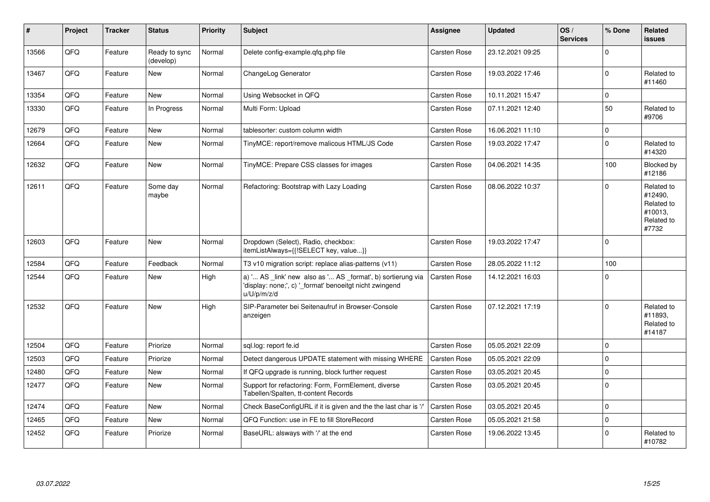| $\vert$ # | Project | <b>Tracker</b> | <b>Status</b>              | <b>Priority</b> | <b>Subject</b>                                                                                                                        | Assignee            | <b>Updated</b>   | OS/<br><b>Services</b> | % Done      | Related<br>issues                                                     |
|-----------|---------|----------------|----------------------------|-----------------|---------------------------------------------------------------------------------------------------------------------------------------|---------------------|------------------|------------------------|-------------|-----------------------------------------------------------------------|
| 13566     | QFQ     | Feature        | Ready to sync<br>(develop) | Normal          | Delete config-example.gfg.php file                                                                                                    | Carsten Rose        | 23.12.2021 09:25 |                        | $\Omega$    |                                                                       |
| 13467     | QFQ     | Feature        | <b>New</b>                 | Normal          | ChangeLog Generator                                                                                                                   | Carsten Rose        | 19.03.2022 17:46 |                        | $\Omega$    | Related to<br>#11460                                                  |
| 13354     | QFQ     | Feature        | <b>New</b>                 | Normal          | Using Websocket in QFQ                                                                                                                | <b>Carsten Rose</b> | 10.11.2021 15:47 |                        | $\mathbf 0$ |                                                                       |
| 13330     | QFQ     | Feature        | In Progress                | Normal          | Multi Form: Upload                                                                                                                    | <b>Carsten Rose</b> | 07.11.2021 12:40 |                        | 50          | Related to<br>#9706                                                   |
| 12679     | QFQ     | Feature        | <b>New</b>                 | Normal          | tablesorter: custom column width                                                                                                      | Carsten Rose        | 16.06.2021 11:10 |                        | $\Omega$    |                                                                       |
| 12664     | QFQ     | Feature        | <b>New</b>                 | Normal          | TinyMCE: report/remove malicous HTML/JS Code                                                                                          | <b>Carsten Rose</b> | 19.03.2022 17:47 |                        | $\Omega$    | Related to<br>#14320                                                  |
| 12632     | QFQ     | Feature        | <b>New</b>                 | Normal          | TinyMCE: Prepare CSS classes for images                                                                                               | <b>Carsten Rose</b> | 04.06.2021 14:35 |                        | 100         | Blocked by<br>#12186                                                  |
| 12611     | QFQ     | Feature        | Some day<br>maybe          | Normal          | Refactoring: Bootstrap with Lazy Loading                                                                                              | Carsten Rose        | 08.06.2022 10:37 |                        | $\Omega$    | Related to<br>#12490,<br>Related to<br>#10013,<br>Related to<br>#7732 |
| 12603     | QFQ     | Feature        | <b>New</b>                 | Normal          | Dropdown (Select), Radio, checkbox:<br>itemListAlways={{!SELECT key, value}}                                                          | <b>Carsten Rose</b> | 19.03.2022 17:47 |                        | $\mathbf 0$ |                                                                       |
| 12584     | QFQ     | Feature        | Feedback                   | Normal          | T3 v10 migration script: replace alias-patterns (v11)                                                                                 | Carsten Rose        | 28.05.2022 11:12 |                        | 100         |                                                                       |
| 12544     | QFQ     | Feature        | <b>New</b>                 | High            | a) ' AS _link' new also as ' AS _format', b) sortierung via<br>'display: none;', c) ' format' benoeitgt nicht zwingend<br>u/U/p/m/z/d | Carsten Rose        | 14.12.2021 16:03 |                        | $\Omega$    |                                                                       |
| 12532     | QFQ     | Feature        | <b>New</b>                 | High            | SIP-Parameter bei Seitenaufruf in Browser-Console<br>anzeigen                                                                         | Carsten Rose        | 07.12.2021 17:19 |                        | $\mathbf 0$ | Related to<br>#11893.<br>Related to<br>#14187                         |
| 12504     | QFQ     | Feature        | Priorize                   | Normal          | sql.log: report fe.id                                                                                                                 | Carsten Rose        | 05.05.2021 22:09 |                        | $\mathbf 0$ |                                                                       |
| 12503     | QFQ     | Feature        | Priorize                   | Normal          | Detect dangerous UPDATE statement with missing WHERE                                                                                  | Carsten Rose        | 05.05.2021 22:09 |                        | $\mathbf 0$ |                                                                       |
| 12480     | QFQ     | Feature        | <b>New</b>                 | Normal          | If QFQ upgrade is running, block further request                                                                                      | Carsten Rose        | 03.05.2021 20:45 |                        | $\mathbf 0$ |                                                                       |
| 12477     | QFQ     | Feature        | <b>New</b>                 | Normal          | Support for refactoring: Form, FormElement, diverse<br>Tabellen/Spalten, tt-content Records                                           | <b>Carsten Rose</b> | 03.05.2021 20:45 |                        | $\Omega$    |                                                                       |
| 12474     | QFQ     | Feature        | <b>New</b>                 | Normal          | Check BaseConfigURL if it is given and the the last char is '/'                                                                       | <b>Carsten Rose</b> | 03.05.2021 20:45 |                        | $\mathbf 0$ |                                                                       |
| 12465     | QFQ     | Feature        | <b>New</b>                 | Normal          | QFQ Function: use in FE to fill StoreRecord                                                                                           | <b>Carsten Rose</b> | 05.05.2021 21:58 |                        | $\mathbf 0$ |                                                                       |
| 12452     | QFQ     | Feature        | Priorize                   | Normal          | BaseURL: alsways with '/' at the end                                                                                                  | Carsten Rose        | 19.06.2022 13:45 |                        | $\Omega$    | Related to<br>#10782                                                  |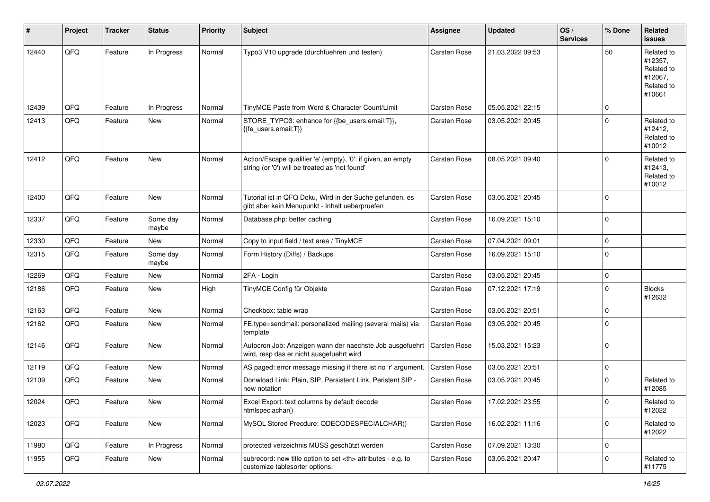| #     | Project | <b>Tracker</b> | <b>Status</b>     | <b>Priority</b> | <b>Subject</b>                                                                                                 | Assignee                                               | <b>Updated</b>   | OS/<br><b>Services</b> | % Done      | Related<br><b>issues</b>                                               |                      |
|-------|---------|----------------|-------------------|-----------------|----------------------------------------------------------------------------------------------------------------|--------------------------------------------------------|------------------|------------------------|-------------|------------------------------------------------------------------------|----------------------|
| 12440 | QFQ     | Feature        | In Progress       | Normal          | Typo3 V10 upgrade (durchfuehren und testen)                                                                    | <b>Carsten Rose</b>                                    | 21.03.2022 09:53 |                        | 50          | Related to<br>#12357,<br>Related to<br>#12067,<br>Related to<br>#10661 |                      |
| 12439 | QFQ     | Feature        | In Progress       | Normal          | TinyMCE Paste from Word & Character Count/Limit                                                                | Carsten Rose                                           | 05.05.2021 22:15 |                        | $\mathbf 0$ |                                                                        |                      |
| 12413 | QFQ     | Feature        | New               | Normal          | STORE_TYPO3: enhance for {{be_users.email:T}},<br>{{fe_users.email:T}}                                         | Carsten Rose                                           | 03.05.2021 20:45 |                        | $\Omega$    | Related to<br>#12412,<br>Related to<br>#10012                          |                      |
| 12412 | QFQ     | Feature        | New               | Normal          | Action/Escape qualifier 'e' (empty), '0': if given, an empty<br>string (or '0') will be treated as 'not found' | Carsten Rose                                           | 08.05.2021 09:40 |                        | $\Omega$    | Related to<br>#12413,<br>Related to<br>#10012                          |                      |
| 12400 | QFQ     | Feature        | New               | Normal          | Tutorial ist in QFQ Doku, Wird in der Suche gefunden, es<br>gibt aber kein Menupunkt - Inhalt ueberpruefen     | Carsten Rose                                           | 03.05.2021 20:45 |                        | $\mathbf 0$ |                                                                        |                      |
| 12337 | QFQ     | Feature        | Some day<br>maybe | Normal          | Database.php: better caching                                                                                   | Carsten Rose                                           | 16.09.2021 15:10 |                        | $\mathbf 0$ |                                                                        |                      |
| 12330 | QFQ     | Feature        | New               | Normal          | Copy to input field / text area / TinyMCE                                                                      | <b>Carsten Rose</b>                                    | 07.04.2021 09:01 |                        | $\mathbf 0$ |                                                                        |                      |
| 12315 | QFQ     | Feature        | Some day<br>maybe | Normal          | Form History (Diffs) / Backups                                                                                 | Carsten Rose                                           | 16.09.2021 15:10 |                        | $\mathbf 0$ |                                                                        |                      |
| 12269 | QFQ     | Feature        | New               | Normal          | 2FA - Login                                                                                                    | Carsten Rose                                           | 03.05.2021 20:45 |                        | $\mathbf 0$ |                                                                        |                      |
| 12186 | QFQ     | Feature        | New               | High            | TinyMCE Config für Objekte                                                                                     | Carsten Rose                                           | 07.12.2021 17:19 |                        | $\Omega$    | <b>Blocks</b><br>#12632                                                |                      |
| 12163 | QFQ     | Feature        | New               | Normal          | Checkbox: table wrap                                                                                           | Carsten Rose                                           | 03.05.2021 20:51 |                        | $\mathbf 0$ |                                                                        |                      |
| 12162 | QFQ     | Feature        | New               | Normal          | FE.type=sendmail: personalized mailing (several mails) via<br>template                                         | Carsten Rose                                           | 03.05.2021 20:45 |                        | $\mathbf 0$ |                                                                        |                      |
| 12146 | QFQ     | Feature        | New               | Normal          | Autocron Job: Anzeigen wann der naechste Job ausgefuehrt<br>wird, resp das er nicht ausgefuehrt wird           | <b>Carsten Rose</b>                                    | 15.03.2021 15:23 |                        | $\mathbf 0$ |                                                                        |                      |
| 12119 | QFQ     | Feature        | New               | Normal          | AS paged: error message missing if there ist no 'r' argument.                                                  | Carsten Rose                                           | 03.05.2021 20:51 |                        | $\mathbf 0$ |                                                                        |                      |
| 12109 | QFQ     | Feature        | New               | Normal          | Donwload Link: Plain, SIP, Persistent Link, Peristent SIP -<br>new notation                                    | Carsten Rose                                           | 03.05.2021 20:45 |                        | $\Omega$    | Related to<br>#12085                                                   |                      |
| 12024 | QFG     | Feature        | New               | Normal          | Excel Export: text columns by default decode<br>htmlspeciachar()                                               | Carsten Rose                                           | 17.02.2021 23:55 |                        | $\pmb{0}$   | Related to<br>#12022                                                   |                      |
| 12023 | QFQ     | Feature        | New               | Normal          | MySQL Stored Precdure: QDECODESPECIALCHAR()                                                                    | Carsten Rose                                           | 16.02.2021 11:16 |                        | $\mathbf 0$ | Related to<br>#12022                                                   |                      |
| 11980 | QFQ     | Feature        | In Progress       | Normal          | protected verzeichnis MUSS geschützt werden                                                                    | Carsten Rose                                           | 07.09.2021 13:30 |                        | $\mathbf 0$ |                                                                        |                      |
| 11955 | QFQ     | Feature        | New               | Normal          | subrecord: new title option to set <th> attributes - e.g. to<br/>customize tablesorter options.</th>           | attributes - e.g. to<br>customize tablesorter options. | Carsten Rose     | 03.05.2021 20:47       |             | $\mathbf 0$                                                            | Related to<br>#11775 |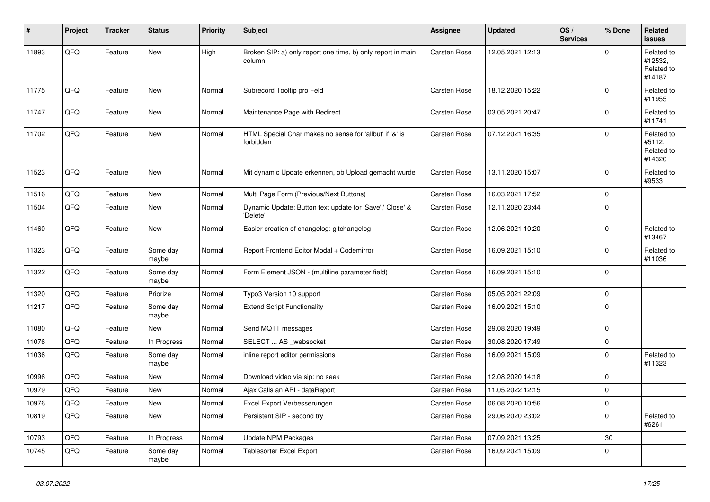| $\sharp$ | Project | <b>Tracker</b> | <b>Status</b>     | <b>Priority</b> | <b>Subject</b>                                                        | Assignee     | <b>Updated</b>   | OS/<br><b>Services</b> | % Done      | Related<br>issues                             |
|----------|---------|----------------|-------------------|-----------------|-----------------------------------------------------------------------|--------------|------------------|------------------------|-------------|-----------------------------------------------|
| 11893    | QFQ     | Feature        | New               | High            | Broken SIP: a) only report one time, b) only report in main<br>column | Carsten Rose | 12.05.2021 12:13 |                        | $\Omega$    | Related to<br>#12532,<br>Related to<br>#14187 |
| 11775    | QFQ     | Feature        | <b>New</b>        | Normal          | Subrecord Tooltip pro Feld                                            | Carsten Rose | 18.12.2020 15:22 |                        | $\mathbf 0$ | Related to<br>#11955                          |
| 11747    | QFQ     | Feature        | New               | Normal          | Maintenance Page with Redirect                                        | Carsten Rose | 03.05.2021 20:47 |                        | $\mathbf 0$ | Related to<br>#11741                          |
| 11702    | QFQ     | Feature        | <b>New</b>        | Normal          | HTML Special Char makes no sense for 'allbut' if '&' is<br>forbidden  | Carsten Rose | 07.12.2021 16:35 |                        | $\Omega$    | Related to<br>#5112,<br>Related to<br>#14320  |
| 11523    | QFQ     | Feature        | <b>New</b>        | Normal          | Mit dynamic Update erkennen, ob Upload gemacht wurde                  | Carsten Rose | 13.11.2020 15:07 |                        | $\Omega$    | Related to<br>#9533                           |
| 11516    | QFQ     | Feature        | <b>New</b>        | Normal          | Multi Page Form (Previous/Next Buttons)                               | Carsten Rose | 16.03.2021 17:52 |                        | $\Omega$    |                                               |
| 11504    | QFQ     | Feature        | New               | Normal          | Dynamic Update: Button text update for 'Save',' Close' &<br>'Delete'  | Carsten Rose | 12.11.2020 23:44 |                        | $\Omega$    |                                               |
| 11460    | QFQ     | Feature        | <b>New</b>        | Normal          | Easier creation of changelog: gitchangelog                            | Carsten Rose | 12.06.2021 10:20 |                        | $\mathbf 0$ | Related to<br>#13467                          |
| 11323    | QFG     | Feature        | Some day<br>maybe | Normal          | Report Frontend Editor Modal + Codemirror                             | Carsten Rose | 16.09.2021 15:10 |                        | $\mathbf 0$ | Related to<br>#11036                          |
| 11322    | QFQ     | Feature        | Some day<br>maybe | Normal          | Form Element JSON - (multiline parameter field)                       | Carsten Rose | 16.09.2021 15:10 |                        | $\mathbf 0$ |                                               |
| 11320    | QFQ     | Feature        | Priorize          | Normal          | Typo3 Version 10 support                                              | Carsten Rose | 05.05.2021 22:09 |                        | $\mathbf 0$ |                                               |
| 11217    | QFQ     | Feature        | Some day<br>maybe | Normal          | <b>Extend Script Functionality</b>                                    | Carsten Rose | 16.09.2021 15:10 |                        | $\mathbf 0$ |                                               |
| 11080    | QFQ     | Feature        | <b>New</b>        | Normal          | Send MQTT messages                                                    | Carsten Rose | 29.08.2020 19:49 |                        | $\mathbf 0$ |                                               |
| 11076    | QFQ     | Feature        | In Progress       | Normal          | SELECT  AS _websocket                                                 | Carsten Rose | 30.08.2020 17:49 |                        | $\pmb{0}$   |                                               |
| 11036    | QFQ     | Feature        | Some day<br>maybe | Normal          | inline report editor permissions                                      | Carsten Rose | 16.09.2021 15:09 |                        | $\Omega$    | Related to<br>#11323                          |
| 10996    | QFQ     | Feature        | <b>New</b>        | Normal          | Download video via sip: no seek                                       | Carsten Rose | 12.08.2020 14:18 |                        | $\mathbf 0$ |                                               |
| 10979    | QFQ     | Feature        | New               | Normal          | Ajax Calls an API - dataReport                                        | Carsten Rose | 11.05.2022 12:15 |                        | $\pmb{0}$   |                                               |
| 10976    | QFQ     | Feature        | <b>New</b>        | Normal          | Excel Export Verbesserungen                                           | Carsten Rose | 06.08.2020 10:56 |                        | $\mathbf 0$ |                                               |
| 10819    | QFQ     | Feature        | New               | Normal          | Persistent SIP - second try                                           | Carsten Rose | 29.06.2020 23:02 |                        | $\pmb{0}$   | Related to<br>#6261                           |
| 10793    | QFQ     | Feature        | In Progress       | Normal          | Update NPM Packages                                                   | Carsten Rose | 07.09.2021 13:25 |                        | 30          |                                               |
| 10745    | QFQ     | Feature        | Some day<br>maybe | Normal          | <b>Tablesorter Excel Export</b>                                       | Carsten Rose | 16.09.2021 15:09 |                        | $\mathbf 0$ |                                               |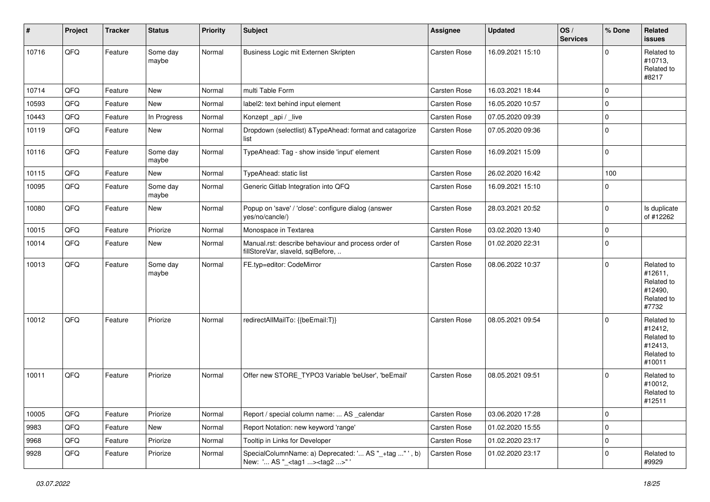| #     | Project | <b>Tracker</b> | <b>Status</b>     | <b>Priority</b> | <b>Subject</b>                                                                                     | Assignee     | <b>Updated</b>   | OS/<br><b>Services</b> | % Done      | Related<br>issues                                                      |
|-------|---------|----------------|-------------------|-----------------|----------------------------------------------------------------------------------------------------|--------------|------------------|------------------------|-------------|------------------------------------------------------------------------|
| 10716 | QFQ     | Feature        | Some day<br>maybe | Normal          | Business Logic mit Externen Skripten                                                               | Carsten Rose | 16.09.2021 15:10 |                        | $\Omega$    | Related to<br>#10713,<br>Related to<br>#8217                           |
| 10714 | QFQ     | Feature        | New               | Normal          | multi Table Form                                                                                   | Carsten Rose | 16.03.2021 18:44 |                        | $\Omega$    |                                                                        |
| 10593 | QFQ     | Feature        | New               | Normal          | label2: text behind input element                                                                  | Carsten Rose | 16.05.2020 10:57 |                        | $\mathbf 0$ |                                                                        |
| 10443 | QFQ     | Feature        | In Progress       | Normal          | Konzept_api / _live                                                                                | Carsten Rose | 07.05.2020 09:39 |                        | $\mathbf 0$ |                                                                        |
| 10119 | QFQ     | Feature        | New               | Normal          | Dropdown (selectlist) & TypeAhead: format and catagorize<br>list                                   | Carsten Rose | 07.05.2020 09:36 |                        | $\Omega$    |                                                                        |
| 10116 | QFQ     | Feature        | Some day<br>maybe | Normal          | TypeAhead: Tag - show inside 'input' element                                                       | Carsten Rose | 16.09.2021 15:09 |                        | $\mathbf 0$ |                                                                        |
| 10115 | QFQ     | Feature        | <b>New</b>        | Normal          | TypeAhead: static list                                                                             | Carsten Rose | 26.02.2020 16:42 |                        | 100         |                                                                        |
| 10095 | QFQ     | Feature        | Some day<br>maybe | Normal          | Generic Gitlab Integration into QFQ                                                                | Carsten Rose | 16.09.2021 15:10 |                        | $\Omega$    |                                                                        |
| 10080 | QFQ     | Feature        | <b>New</b>        | Normal          | Popup on 'save' / 'close': configure dialog (answer<br>yes/no/cancle/)                             | Carsten Rose | 28.03.2021 20:52 |                        | $\mathbf 0$ | Is duplicate<br>of #12262                                              |
| 10015 | QFQ     | Feature        | Priorize          | Normal          | Monospace in Textarea                                                                              | Carsten Rose | 03.02.2020 13:40 |                        | 0           |                                                                        |
| 10014 | QFQ     | Feature        | New               | Normal          | Manual.rst: describe behaviour and process order of<br>fillStoreVar, slaveId, sqlBefore,           | Carsten Rose | 01.02.2020 22:31 |                        | $\mathbf 0$ |                                                                        |
| 10013 | QFQ     | Feature        | Some day<br>maybe | Normal          | FE.typ=editor: CodeMirror                                                                          | Carsten Rose | 08.06.2022 10:37 |                        | $\mathbf 0$ | Related to<br>#12611,<br>Related to<br>#12490,<br>Related to<br>#7732  |
| 10012 | QFQ     | Feature        | Priorize          | Normal          | redirectAllMailTo: {{beEmail:T}}                                                                   | Carsten Rose | 08.05.2021 09:54 |                        | $\Omega$    | Related to<br>#12412,<br>Related to<br>#12413,<br>Related to<br>#10011 |
| 10011 | QFQ     | Feature        | Priorize          | Normal          | Offer new STORE_TYPO3 Variable 'beUser', 'beEmail'                                                 | Carsten Rose | 08.05.2021 09:51 |                        | $\Omega$    | Related to<br>#10012,<br>Related to<br>#12511                          |
| 10005 | QFQ     | Feature        | Priorize          | Normal          | Report / special column name:  AS _calendar                                                        | Carsten Rose | 03.06.2020 17:28 |                        | 0           |                                                                        |
| 9983  | QFQ     | Feature        | New               | Normal          | Report Notation: new keyword 'range'                                                               | Carsten Rose | 01.02.2020 15:55 |                        | 0           |                                                                        |
| 9968  | QFQ     | Feature        | Priorize          | Normal          | Tooltip in Links for Developer                                                                     | Carsten Rose | 01.02.2020 23:17 |                        | 0           |                                                                        |
| 9928  | QFQ     | Feature        | Priorize          | Normal          | SpecialColumnName: a) Deprecated: ' AS "_+tag " ', b)<br>New: ' AS "_ <tag1><tag2>"'</tag2></tag1> | Carsten Rose | 01.02.2020 23:17 |                        | 0           | Related to<br>#9929                                                    |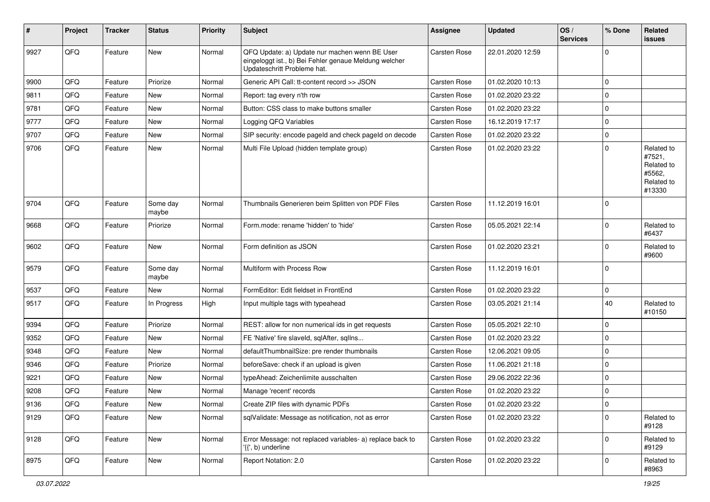| ∦    | Project | <b>Tracker</b> | <b>Status</b>     | <b>Priority</b> | <b>Subject</b>                                                                                                                        | Assignee     | <b>Updated</b>   | OS/<br><b>Services</b> | % Done      | Related<br>issues                                                    |
|------|---------|----------------|-------------------|-----------------|---------------------------------------------------------------------------------------------------------------------------------------|--------------|------------------|------------------------|-------------|----------------------------------------------------------------------|
| 9927 | QFQ     | Feature        | <b>New</b>        | Normal          | QFQ Update: a) Update nur machen wenn BE User<br>eingeloggt ist., b) Bei Fehler genaue Meldung welcher<br>Updateschritt Probleme hat. | Carsten Rose | 22.01.2020 12:59 |                        | $\mathbf 0$ |                                                                      |
| 9900 | QFQ     | Feature        | Priorize          | Normal          | Generic API Call: tt-content record >> JSON                                                                                           | Carsten Rose | 01.02.2020 10:13 |                        | $\mathbf 0$ |                                                                      |
| 9811 | QFQ     | Feature        | New               | Normal          | Report: tag every n'th row                                                                                                            | Carsten Rose | 01.02.2020 23:22 |                        | $\Omega$    |                                                                      |
| 9781 | QFQ     | Feature        | New               | Normal          | Button: CSS class to make buttons smaller                                                                                             | Carsten Rose | 01.02.2020 23:22 |                        | $\mathbf 0$ |                                                                      |
| 9777 | QFQ     | Feature        | <b>New</b>        | Normal          | Logging QFQ Variables                                                                                                                 | Carsten Rose | 16.12.2019 17:17 |                        | $\mathbf 0$ |                                                                      |
| 9707 | QFQ     | Feature        | New               | Normal          | SIP security: encode pageld and check pageld on decode                                                                                | Carsten Rose | 01.02.2020 23:22 |                        | $\mathbf 0$ |                                                                      |
| 9706 | QFQ     | Feature        | New               | Normal          | Multi File Upload (hidden template group)                                                                                             | Carsten Rose | 01.02.2020 23:22 |                        | $\Omega$    | Related to<br>#7521,<br>Related to<br>#5562,<br>Related to<br>#13330 |
| 9704 | QFQ     | Feature        | Some day<br>maybe | Normal          | Thumbnails Generieren beim Splitten von PDF Files                                                                                     | Carsten Rose | 11.12.2019 16:01 |                        | 0           |                                                                      |
| 9668 | QFQ     | Feature        | Priorize          | Normal          | Form.mode: rename 'hidden' to 'hide'                                                                                                  | Carsten Rose | 05.05.2021 22:14 |                        | $\mathbf 0$ | Related to<br>#6437                                                  |
| 9602 | QFQ     | Feature        | <b>New</b>        | Normal          | Form definition as JSON                                                                                                               | Carsten Rose | 01.02.2020 23:21 |                        | $\Omega$    | Related to<br>#9600                                                  |
| 9579 | QFQ     | Feature        | Some day<br>maybe | Normal          | Multiform with Process Row                                                                                                            | Carsten Rose | 11.12.2019 16:01 |                        | $\Omega$    |                                                                      |
| 9537 | QFQ     | Feature        | <b>New</b>        | Normal          | FormEditor: Edit fieldset in FrontEnd                                                                                                 | Carsten Rose | 01.02.2020 23:22 |                        | $\mathbf 0$ |                                                                      |
| 9517 | QFQ     | Feature        | In Progress       | High            | Input multiple tags with typeahead                                                                                                    | Carsten Rose | 03.05.2021 21:14 |                        | 40          | Related to<br>#10150                                                 |
| 9394 | QFQ     | Feature        | Priorize          | Normal          | REST: allow for non numerical ids in get requests                                                                                     | Carsten Rose | 05.05.2021 22:10 |                        | $\mathbf 0$ |                                                                      |
| 9352 | QFQ     | Feature        | New               | Normal          | FE 'Native' fire slaveld, sqlAfter, sqlIns                                                                                            | Carsten Rose | 01.02.2020 23:22 |                        | $\Omega$    |                                                                      |
| 9348 | QFQ     | Feature        | New               | Normal          | defaultThumbnailSize: pre render thumbnails                                                                                           | Carsten Rose | 12.06.2021 09:05 |                        | $\mathbf 0$ |                                                                      |
| 9346 | QFQ     | Feature        | Priorize          | Normal          | beforeSave: check if an upload is given                                                                                               | Carsten Rose | 11.06.2021 21:18 |                        | $\mathbf 0$ |                                                                      |
| 9221 | QFQ     | Feature        | New               | Normal          | typeAhead: Zeichenlimite ausschalten                                                                                                  | Carsten Rose | 29.06.2022 22:36 |                        | $\mathbf 0$ |                                                                      |
| 9208 | QFQ     | Feature        | New               | Normal          | Manage 'recent' records                                                                                                               | Carsten Rose | 01.02.2020 23:22 |                        | $\mathbf 0$ |                                                                      |
| 9136 | QFQ     | Feature        | <b>New</b>        | Normal          | Create ZIP files with dynamic PDFs                                                                                                    | Carsten Rose | 01.02.2020 23:22 |                        | 0           |                                                                      |
| 9129 | QFQ     | Feature        | New               | Normal          | sqlValidate: Message as notification, not as error                                                                                    | Carsten Rose | 01.02.2020 23:22 |                        | $\mathbf 0$ | Related to<br>#9128                                                  |
| 9128 | QFQ     | Feature        | New               | Normal          | Error Message: not replaced variables- a) replace back to<br>'{{', b) underline                                                       | Carsten Rose | 01.02.2020 23:22 |                        | $\mathbf 0$ | Related to<br>#9129                                                  |
| 8975 | QFQ     | Feature        | New               | Normal          | Report Notation: 2.0                                                                                                                  | Carsten Rose | 01.02.2020 23:22 |                        | 0           | Related to<br>#8963                                                  |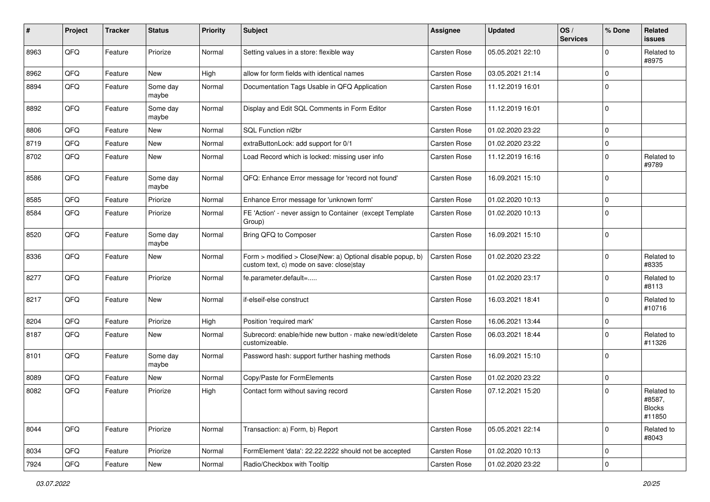| #    | Project | <b>Tracker</b> | <b>Status</b>     | <b>Priority</b> | <b>Subject</b>                                                                                         | <b>Assignee</b> | <b>Updated</b>   | OS/<br><b>Services</b> | % Done      | Related<br><b>issues</b>                        |
|------|---------|----------------|-------------------|-----------------|--------------------------------------------------------------------------------------------------------|-----------------|------------------|------------------------|-------------|-------------------------------------------------|
| 8963 | QFQ     | Feature        | Priorize          | Normal          | Setting values in a store: flexible way                                                                | Carsten Rose    | 05.05.2021 22:10 |                        | $\Omega$    | Related to<br>#8975                             |
| 8962 | QFQ     | Feature        | New               | High            | allow for form fields with identical names                                                             | Carsten Rose    | 03.05.2021 21:14 |                        | $\mathbf 0$ |                                                 |
| 8894 | QFQ     | Feature        | Some day<br>maybe | Normal          | Documentation Tags Usable in QFQ Application                                                           | Carsten Rose    | 11.12.2019 16:01 |                        | $\mathbf 0$ |                                                 |
| 8892 | QFQ     | Feature        | Some day<br>maybe | Normal          | Display and Edit SQL Comments in Form Editor                                                           | Carsten Rose    | 11.12.2019 16:01 |                        | $\Omega$    |                                                 |
| 8806 | QFQ     | Feature        | <b>New</b>        | Normal          | SQL Function nl2br                                                                                     | Carsten Rose    | 01.02.2020 23:22 |                        | $\mathbf 0$ |                                                 |
| 8719 | QFQ     | Feature        | <b>New</b>        | Normal          | extraButtonLock: add support for 0/1                                                                   | Carsten Rose    | 01.02.2020 23:22 |                        | $\mathbf 0$ |                                                 |
| 8702 | QFQ     | Feature        | <b>New</b>        | Normal          | Load Record which is locked: missing user info                                                         | Carsten Rose    | 11.12.2019 16:16 |                        | $\Omega$    | Related to<br>#9789                             |
| 8586 | QFQ     | Feature        | Some day<br>maybe | Normal          | QFQ: Enhance Error message for 'record not found'                                                      | Carsten Rose    | 16.09.2021 15:10 |                        | $\mathbf 0$ |                                                 |
| 8585 | QFQ     | Feature        | Priorize          | Normal          | Enhance Error message for 'unknown form'                                                               | Carsten Rose    | 01.02.2020 10:13 |                        | $\mathbf 0$ |                                                 |
| 8584 | QFQ     | Feature        | Priorize          | Normal          | FE 'Action' - never assign to Container (except Template)<br>Group)                                    | Carsten Rose    | 01.02.2020 10:13 |                        | $\mathbf 0$ |                                                 |
| 8520 | QFQ     | Feature        | Some day<br>maybe | Normal          | Bring QFQ to Composer                                                                                  | Carsten Rose    | 16.09.2021 15:10 |                        | 0           |                                                 |
| 8336 | QFQ     | Feature        | New               | Normal          | Form > modified > Close New: a) Optional disable popup, b)<br>custom text, c) mode on save: close stay | Carsten Rose    | 01.02.2020 23:22 |                        | $\Omega$    | Related to<br>#8335                             |
| 8277 | QFQ     | Feature        | Priorize          | Normal          | fe.parameter.default=                                                                                  | Carsten Rose    | 01.02.2020 23:17 |                        | $\Omega$    | Related to<br>#8113                             |
| 8217 | QFQ     | Feature        | New               | Normal          | if-elseif-else construct                                                                               | Carsten Rose    | 16.03.2021 18:41 |                        | $\Omega$    | Related to<br>#10716                            |
| 8204 | QFQ     | Feature        | Priorize          | High            | Position 'required mark'                                                                               | Carsten Rose    | 16.06.2021 13:44 |                        | $\mathbf 0$ |                                                 |
| 8187 | QFQ     | Feature        | New               | Normal          | Subrecord: enable/hide new button - make new/edit/delete<br>customizeable.                             | Carsten Rose    | 06.03.2021 18:44 |                        | $\Omega$    | Related to<br>#11326                            |
| 8101 | QFQ     | Feature        | Some day<br>maybe | Normal          | Password hash: support further hashing methods                                                         | Carsten Rose    | 16.09.2021 15:10 |                        | 0           |                                                 |
| 8089 | QFQ     | Feature        | New               | Normal          | Copy/Paste for FormElements                                                                            | Carsten Rose    | 01.02.2020 23:22 |                        | $\mathbf 0$ |                                                 |
| 8082 | QFQ     | Feature        | Priorize          | High            | Contact form without saving record                                                                     | Carsten Rose    | 07.12.2021 15:20 |                        | $\mathbf 0$ | Related to<br>#8587,<br><b>Blocks</b><br>#11850 |
| 8044 | QFQ     | Feature        | Priorize          | Normal          | Transaction: a) Form, b) Report                                                                        | Carsten Rose    | 05.05.2021 22:14 |                        | $\mathbf 0$ | Related to<br>#8043                             |
| 8034 | QFQ     | Feature        | Priorize          | Normal          | FormElement 'data': 22.22.2222 should not be accepted                                                  | Carsten Rose    | 01.02.2020 10:13 |                        | $\mathbf 0$ |                                                 |
| 7924 | QFG     | Feature        | New               | Normal          | Radio/Checkbox with Tooltip                                                                            | Carsten Rose    | 01.02.2020 23:22 |                        | $\pmb{0}$   |                                                 |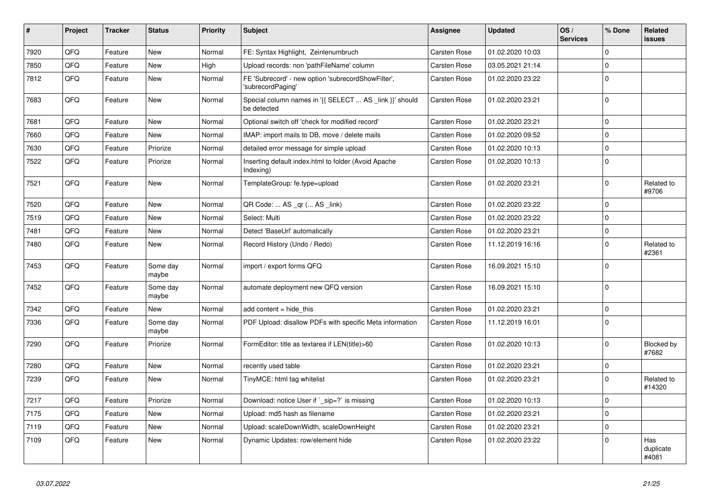| $\vert$ # | Project | <b>Tracker</b> | <b>Status</b>     | <b>Priority</b> | <b>Subject</b>                                                          | Assignee            | <b>Updated</b>   | OS/<br><b>Services</b> | % Done      | Related<br>issues         |
|-----------|---------|----------------|-------------------|-----------------|-------------------------------------------------------------------------|---------------------|------------------|------------------------|-------------|---------------------------|
| 7920      | QFQ     | Feature        | <b>New</b>        | Normal          | FE: Syntax Highlight, Zeinlenumbruch                                    | <b>Carsten Rose</b> | 01.02.2020 10:03 |                        | $\Omega$    |                           |
| 7850      | QFQ     | Feature        | New               | High            | Upload records: non 'pathFileName' column                               | <b>Carsten Rose</b> | 03.05.2021 21:14 |                        | 0           |                           |
| 7812      | QFQ     | Feature        | New               | Normal          | FE 'Subrecord' - new option 'subrecordShowFilter',<br>'subrecordPaging' | <b>Carsten Rose</b> | 01.02.2020 23:22 |                        | $\Omega$    |                           |
| 7683      | QFQ     | Feature        | <b>New</b>        | Normal          | Special column names in '{{ SELECT  AS _link }}' should<br>be detected  | <b>Carsten Rose</b> | 01.02.2020 23:21 |                        | $\Omega$    |                           |
| 7681      | QFQ     | Feature        | New               | Normal          | Optional switch off 'check for modified record'                         | <b>Carsten Rose</b> | 01.02.2020 23:21 |                        | 0           |                           |
| 7660      | QFQ     | Feature        | New               | Normal          | IMAP: import mails to DB, move / delete mails                           | Carsten Rose        | 01.02.2020 09:52 |                        | $\Omega$    |                           |
| 7630      | QFQ     | Feature        | Priorize          | Normal          | detailed error message for simple upload                                | Carsten Rose        | 01.02.2020 10:13 |                        | $\mathbf 0$ |                           |
| 7522      | QFQ     | Feature        | Priorize          | Normal          | Inserting default index.html to folder (Avoid Apache<br>Indexing)       | Carsten Rose        | 01.02.2020 10:13 |                        | $\Omega$    |                           |
| 7521      | QFQ     | Feature        | <b>New</b>        | Normal          | TemplateGroup: fe.type=upload                                           | <b>Carsten Rose</b> | 01.02.2020 23:21 |                        | $\Omega$    | Related to<br>#9706       |
| 7520      | QFQ     | Feature        | New               | Normal          | QR Code:  AS _qr ( AS _link)                                            | <b>Carsten Rose</b> | 01.02.2020 23:22 |                        | $\Omega$    |                           |
| 7519      | QFQ     | Feature        | New               | Normal          | Select: Multi                                                           | <b>Carsten Rose</b> | 01.02.2020 23:22 |                        | $\mathbf 0$ |                           |
| 7481      | QFQ     | Feature        | <b>New</b>        | Normal          | Detect 'BaseUrl' automatically                                          | <b>Carsten Rose</b> | 01.02.2020 23:21 |                        | $\mathbf 0$ |                           |
| 7480      | QFQ     | Feature        | New               | Normal          | Record History (Undo / Redo)                                            | <b>Carsten Rose</b> | 11.12.2019 16:16 |                        | $\Omega$    | Related to<br>#2361       |
| 7453      | QFQ     | Feature        | Some day<br>maybe | Normal          | import / export forms QFQ                                               | <b>Carsten Rose</b> | 16.09.2021 15:10 |                        | $\Omega$    |                           |
| 7452      | QFQ     | Feature        | Some day<br>maybe | Normal          | automate deployment new QFQ version                                     | <b>Carsten Rose</b> | 16.09.2021 15:10 |                        | $\Omega$    |                           |
| 7342      | QFQ     | Feature        | New               | Normal          | add content $=$ hide this                                               | <b>Carsten Rose</b> | 01.02.2020 23:21 |                        | $\Omega$    |                           |
| 7336      | QFQ     | Feature        | Some day<br>maybe | Normal          | PDF Upload: disallow PDFs with specific Meta information                | <b>Carsten Rose</b> | 11.12.2019 16:01 |                        | $\Omega$    |                           |
| 7290      | QFQ     | Feature        | Priorize          | Normal          | FormEditor: title as textarea if LEN(title)>60                          | <b>Carsten Rose</b> | 01.02.2020 10:13 |                        | $\mathbf 0$ | Blocked by<br>#7682       |
| 7280      | QFQ     | Feature        | New               | Normal          | recently used table                                                     | <b>Carsten Rose</b> | 01.02.2020 23:21 |                        | $\mathbf 0$ |                           |
| 7239      | QFQ     | Feature        | New               | Normal          | TinyMCE: html tag whitelist                                             | Carsten Rose        | 01.02.2020 23:21 |                        | $\Omega$    | Related to<br>#14320      |
| 7217      | QFQ     | Feature        | Priorize          | Normal          | Download: notice User if `_sip=?` is missing                            | <b>Carsten Rose</b> | 01.02.2020 10:13 |                        | $\Omega$    |                           |
| 7175      | QFQ     | Feature        | <b>New</b>        | Normal          | Upload: md5 hash as filename                                            | <b>Carsten Rose</b> | 01.02.2020 23:21 |                        | $\Omega$    |                           |
| 7119      | QFQ     | Feature        | <b>New</b>        | Normal          | Upload: scaleDownWidth, scaleDownHeight                                 | <b>Carsten Rose</b> | 01.02.2020 23:21 |                        | $\Omega$    |                           |
| 7109      | QFQ     | Feature        | New               | Normal          | Dynamic Updates: row/element hide                                       | <b>Carsten Rose</b> | 01.02.2020 23:22 |                        | $\Omega$    | Has<br>duplicate<br>#4081 |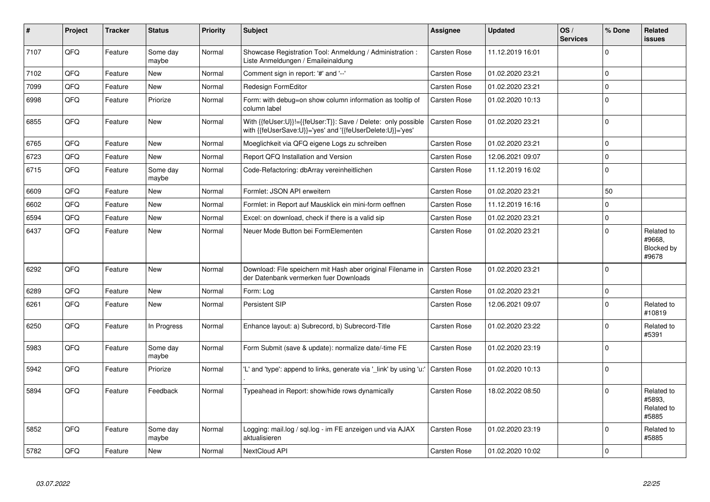| #    | Project | <b>Tracker</b> | <b>Status</b>     | <b>Priority</b> | <b>Subject</b>                                                                                                             | Assignee            | <b>Updated</b>   | OS/<br><b>Services</b> | % Done      | Related<br><b>issues</b>                    |
|------|---------|----------------|-------------------|-----------------|----------------------------------------------------------------------------------------------------------------------------|---------------------|------------------|------------------------|-------------|---------------------------------------------|
| 7107 | QFQ     | Feature        | Some day<br>maybe | Normal          | Showcase Registration Tool: Anmeldung / Administration :<br>Liste Anmeldungen / Emaileinaldung                             | Carsten Rose        | 11.12.2019 16:01 |                        | $\Omega$    |                                             |
| 7102 | QFQ     | Feature        | <b>New</b>        | Normal          | Comment sign in report: '#' and '--'                                                                                       | <b>Carsten Rose</b> | 01.02.2020 23:21 |                        | $\Omega$    |                                             |
| 7099 | QFQ     | Feature        | New               | Normal          | Redesign FormEditor                                                                                                        | Carsten Rose        | 01.02.2020 23:21 |                        | $\mathbf 0$ |                                             |
| 6998 | QFQ     | Feature        | Priorize          | Normal          | Form: with debug=on show column information as tooltip of<br>column label                                                  | <b>Carsten Rose</b> | 01.02.2020 10:13 |                        | $\Omega$    |                                             |
| 6855 | QFQ     | Feature        | New               | Normal          | With {{feUser:U}}!={{feUser:T}}: Save / Delete: only possible<br>with {{feUserSave:U}}='yes' and '{{feUserDelete:U}}='yes' | <b>Carsten Rose</b> | 01.02.2020 23:21 |                        | $\Omega$    |                                             |
| 6765 | QFQ     | Feature        | New               | Normal          | Moeglichkeit via QFQ eigene Logs zu schreiben                                                                              | <b>Carsten Rose</b> | 01.02.2020 23:21 |                        | $\mathbf 0$ |                                             |
| 6723 | QFQ     | Feature        | New               | Normal          | Report QFQ Installation and Version                                                                                        | <b>Carsten Rose</b> | 12.06.2021 09:07 |                        | $\Omega$    |                                             |
| 6715 | QFQ     | Feature        | Some day<br>maybe | Normal          | Code-Refactoring: dbArray vereinheitlichen                                                                                 | <b>Carsten Rose</b> | 11.12.2019 16:02 |                        | $\Omega$    |                                             |
| 6609 | QFQ     | Feature        | New               | Normal          | Formlet: JSON API erweitern                                                                                                | Carsten Rose        | 01.02.2020 23:21 |                        | 50          |                                             |
| 6602 | QFQ     | Feature        | New               | Normal          | Formlet: in Report auf Mausklick ein mini-form oeffnen                                                                     | <b>Carsten Rose</b> | 11.12.2019 16:16 |                        | 0           |                                             |
| 6594 | QFQ     | Feature        | New               | Normal          | Excel: on download, check if there is a valid sip                                                                          | <b>Carsten Rose</b> | 01.02.2020 23:21 |                        | $\Omega$    |                                             |
| 6437 | QFQ     | Feature        | New               | Normal          | Neuer Mode Button bei FormElementen                                                                                        | <b>Carsten Rose</b> | 01.02.2020 23:21 |                        | $\Omega$    | Related to<br>#9668.<br>Blocked by<br>#9678 |
| 6292 | QFQ     | Feature        | New               | Normal          | Download: File speichern mit Hash aber original Filename in<br>der Datenbank vermerken fuer Downloads                      | Carsten Rose        | 01.02.2020 23:21 |                        | $\Omega$    |                                             |
| 6289 | QFQ     | Feature        | <b>New</b>        | Normal          | Form: Log                                                                                                                  | Carsten Rose        | 01.02.2020 23:21 |                        | $\Omega$    |                                             |
| 6261 | QFQ     | Feature        | New               | Normal          | Persistent SIP                                                                                                             | Carsten Rose        | 12.06.2021 09:07 |                        | $\Omega$    | Related to<br>#10819                        |
| 6250 | QFQ     | Feature        | In Progress       | Normal          | Enhance layout: a) Subrecord, b) Subrecord-Title                                                                           | <b>Carsten Rose</b> | 01.02.2020 23:22 |                        | $\Omega$    | Related to<br>#5391                         |
| 5983 | QFQ     | Feature        | Some day<br>maybe | Normal          | Form Submit (save & update): normalize date/-time FE                                                                       | <b>Carsten Rose</b> | 01.02.2020 23:19 |                        | $\Omega$    |                                             |
| 5942 | QFQ     | Feature        | Priorize          | Normal          | 'L' and 'type': append to links, generate via '_link' by using 'u:'                                                        | Carsten Rose        | 01.02.2020 10:13 |                        | $\Omega$    |                                             |
| 5894 | QFQ     | Feature        | Feedback          | Normal          | Typeahead in Report: show/hide rows dynamically                                                                            | <b>Carsten Rose</b> | 18.02.2022 08:50 |                        | $\Omega$    | Related to<br>#5893,<br>Related to<br>#5885 |
| 5852 | QFQ     | Feature        | Some day<br>maybe | Normal          | Logging: mail.log / sql.log - im FE anzeigen und via AJAX<br>aktualisieren                                                 | <b>Carsten Rose</b> | 01.02.2020 23:19 |                        | $\Omega$    | Related to<br>#5885                         |
| 5782 | QFQ     | Feature        | <b>New</b>        | Normal          | NextCloud API                                                                                                              | Carsten Rose        | 01.02.2020 10:02 |                        | $\Omega$    |                                             |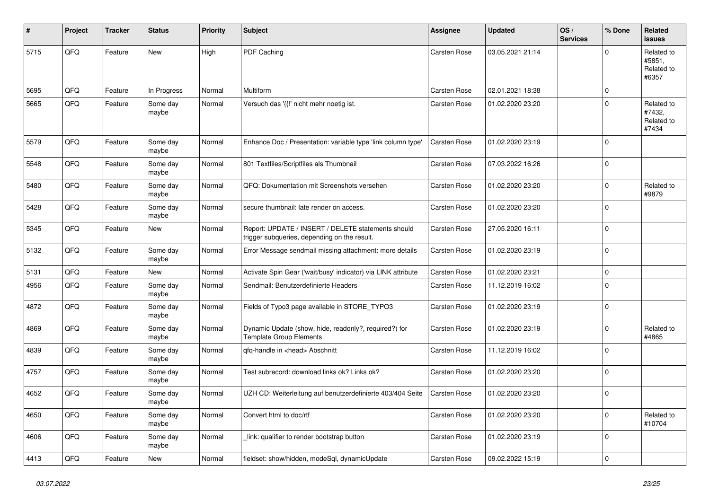| #    | Project        | <b>Tracker</b> | <b>Status</b>     | <b>Priority</b> | <b>Subject</b>                                                                                     | Assignee     | <b>Updated</b>   | OS/<br><b>Services</b> | % Done         | Related<br>issues                           |
|------|----------------|----------------|-------------------|-----------------|----------------------------------------------------------------------------------------------------|--------------|------------------|------------------------|----------------|---------------------------------------------|
| 5715 | QFQ            | Feature        | New               | High            | PDF Caching                                                                                        | Carsten Rose | 03.05.2021 21:14 |                        | $\Omega$       | Related to<br>#5851,<br>Related to<br>#6357 |
| 5695 | QFQ            | Feature        | In Progress       | Normal          | Multiform                                                                                          | Carsten Rose | 02.01.2021 18:38 |                        | $\mathbf 0$    |                                             |
| 5665 | QFQ            | Feature        | Some day<br>maybe | Normal          | Versuch das '{{!' nicht mehr noetig ist.                                                           | Carsten Rose | 01.02.2020 23:20 |                        | $\mathbf 0$    | Related to<br>#7432,<br>Related to<br>#7434 |
| 5579 | QFQ            | Feature        | Some day<br>maybe | Normal          | Enhance Doc / Presentation: variable type 'link column type'                                       | Carsten Rose | 01.02.2020 23:19 |                        | $\mathbf 0$    |                                             |
| 5548 | QFQ            | Feature        | Some day<br>maybe | Normal          | 801 Textfiles/Scriptfiles als Thumbnail                                                            | Carsten Rose | 07.03.2022 16:26 |                        | 0              |                                             |
| 5480 | QFQ            | Feature        | Some day<br>maybe | Normal          | QFQ: Dokumentation mit Screenshots versehen                                                        | Carsten Rose | 01.02.2020 23:20 |                        | $\Omega$       | Related to<br>#9879                         |
| 5428 | QFQ            | Feature        | Some day<br>maybe | Normal          | secure thumbnail: late render on access.                                                           | Carsten Rose | 01.02.2020 23:20 |                        | $\Omega$       |                                             |
| 5345 | QFQ            | Feature        | <b>New</b>        | Normal          | Report: UPDATE / INSERT / DELETE statements should<br>trigger subqueries, depending on the result. | Carsten Rose | 27.05.2020 16:11 |                        | $\mathbf 0$    |                                             |
| 5132 | QFQ            | Feature        | Some day<br>maybe | Normal          | Error Message sendmail missing attachment: more details                                            | Carsten Rose | 01.02.2020 23:19 |                        | 0              |                                             |
| 5131 | QFQ            | Feature        | New               | Normal          | Activate Spin Gear ('wait/busy' indicator) via LINK attribute                                      | Carsten Rose | 01.02.2020 23:21 |                        | $\Omega$       |                                             |
| 4956 | QFQ            | Feature        | Some day<br>maybe | Normal          | Sendmail: Benutzerdefinierte Headers                                                               | Carsten Rose | 11.12.2019 16:02 |                        | $\overline{0}$ |                                             |
| 4872 | QFQ            | Feature        | Some day<br>maybe | Normal          | Fields of Typo3 page available in STORE_TYPO3                                                      | Carsten Rose | 01.02.2020 23:19 |                        | $\mathbf 0$    |                                             |
| 4869 | QFQ            | Feature        | Some day<br>maybe | Normal          | Dynamic Update (show, hide, readonly?, required?) for<br><b>Template Group Elements</b>            | Carsten Rose | 01.02.2020 23:19 |                        | $\mathbf 0$    | Related to<br>#4865                         |
| 4839 | QFQ            | Feature        | Some day<br>maybe | Normal          | qfq-handle in <head> Abschnitt</head>                                                              | Carsten Rose | 11.12.2019 16:02 |                        | $\mathbf 0$    |                                             |
| 4757 | QFQ            | Feature        | Some day<br>maybe | Normal          | Test subrecord: download links ok? Links ok?                                                       | Carsten Rose | 01.02.2020 23:20 |                        | $\mathbf 0$    |                                             |
| 4652 | QFQ            | Feature        | Some day<br>maybe | Normal          | UZH CD: Weiterleitung auf benutzerdefinierte 403/404 Seite                                         | Carsten Rose | 01.02.2020 23:20 |                        | $\mathbf 0$    |                                             |
| 4650 | QFG            | Feature        | Some day<br>maybe | Normal          | Convert html to doc/rtf                                                                            | Carsten Rose | 01.02.2020 23:20 |                        | $\mathbf 0$    | Related to<br>#10704                        |
| 4606 | QFG            | Feature        | Some day<br>maybe | Normal          | link: qualifier to render bootstrap button                                                         | Carsten Rose | 01.02.2020 23:19 |                        | 0              |                                             |
| 4413 | $\mathsf{QFQ}$ | Feature        | New               | Normal          | fieldset: show/hidden, modeSql, dynamicUpdate                                                      | Carsten Rose | 09.02.2022 15:19 |                        | 0              |                                             |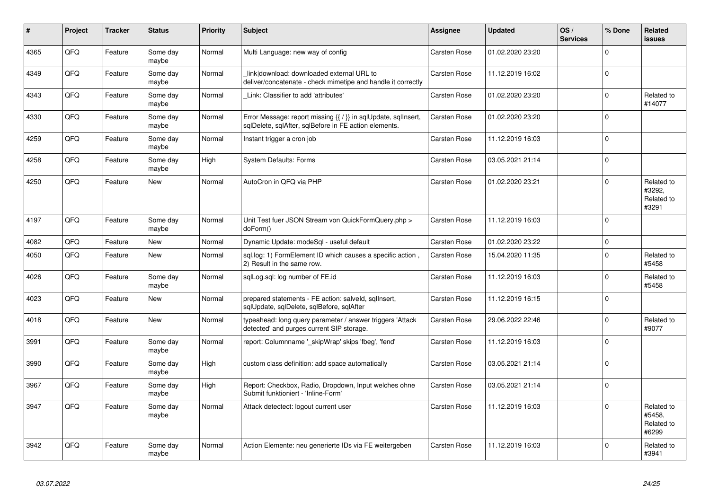| $\vert$ # | Project | <b>Tracker</b> | <b>Status</b>     | <b>Priority</b> | <b>Subject</b>                                                                                                          | <b>Assignee</b>     | <b>Updated</b>   | OS/<br><b>Services</b> | % Done      | Related<br><b>issues</b>                    |
|-----------|---------|----------------|-------------------|-----------------|-------------------------------------------------------------------------------------------------------------------------|---------------------|------------------|------------------------|-------------|---------------------------------------------|
| 4365      | QFQ     | Feature        | Some day<br>maybe | Normal          | Multi Language: new way of config                                                                                       | <b>Carsten Rose</b> | 01.02.2020 23:20 |                        | $\Omega$    |                                             |
| 4349      | QFQ     | Feature        | Some day<br>maybe | Normal          | link download: downloaded external URL to<br>deliver/concatenate - check mimetipe and handle it correctly               | <b>Carsten Rose</b> | 11.12.2019 16:02 |                        | $\Omega$    |                                             |
| 4343      | QFQ     | Feature        | Some day<br>maybe | Normal          | Link: Classifier to add 'attributes'                                                                                    | <b>Carsten Rose</b> | 01.02.2020 23:20 |                        | $\Omega$    | Related to<br>#14077                        |
| 4330      | QFQ     | Feature        | Some day<br>maybe | Normal          | Error Message: report missing {{ / }} in sqlUpdate, sqlInsert,<br>sqlDelete, sqlAfter, sqlBefore in FE action elements. | Carsten Rose        | 01.02.2020 23:20 |                        | $\Omega$    |                                             |
| 4259      | QFQ     | Feature        | Some day<br>maybe | Normal          | Instant trigger a cron job                                                                                              | <b>Carsten Rose</b> | 11.12.2019 16:03 |                        | $\mathbf 0$ |                                             |
| 4258      | QFG     | Feature        | Some day<br>maybe | High            | <b>System Defaults: Forms</b>                                                                                           | Carsten Rose        | 03.05.2021 21:14 |                        | $\Omega$    |                                             |
| 4250      | QFQ     | Feature        | <b>New</b>        | Normal          | AutoCron in QFQ via PHP                                                                                                 | Carsten Rose        | 01.02.2020 23:21 |                        | $\Omega$    | Related to<br>#3292,<br>Related to<br>#3291 |
| 4197      | QFQ     | Feature        | Some day<br>maybe | Normal          | Unit Test fuer JSON Stream von QuickFormQuery.php ><br>doForm()                                                         | Carsten Rose        | 11.12.2019 16:03 |                        | $\mathbf 0$ |                                             |
| 4082      | QFQ     | Feature        | <b>New</b>        | Normal          | Dynamic Update: modeSql - useful default                                                                                | <b>Carsten Rose</b> | 01.02.2020 23:22 |                        | $\mathbf 0$ |                                             |
| 4050      | QFQ     | Feature        | New               | Normal          | sql.log: 1) FormElement ID which causes a specific action,<br>2) Result in the same row.                                | Carsten Rose        | 15.04.2020 11:35 |                        | $\Omega$    | Related to<br>#5458                         |
| 4026      | QFQ     | Feature        | Some day<br>maybe | Normal          | sqlLog.sql: log number of FE.id                                                                                         | Carsten Rose        | 11.12.2019 16:03 |                        | $\Omega$    | Related to<br>#5458                         |
| 4023      | QFQ     | Feature        | <b>New</b>        | Normal          | prepared statements - FE action: salveld, sqllnsert,<br>sglUpdate, sglDelete, sglBefore, sglAfter                       | Carsten Rose        | 11.12.2019 16:15 |                        | $\Omega$    |                                             |
| 4018      | QFQ     | Feature        | New               | Normal          | typeahead: long query parameter / answer triggers 'Attack<br>detected' and purges current SIP storage.                  | Carsten Rose        | 29.06.2022 22:46 |                        | $\Omega$    | Related to<br>#9077                         |
| 3991      | QFQ     | Feature        | Some day<br>maybe | Normal          | report: Columnname '_skipWrap' skips 'fbeg', 'fend'                                                                     | Carsten Rose        | 11.12.2019 16:03 |                        | $\mathbf 0$ |                                             |
| 3990      | QFQ     | Feature        | Some day<br>maybe | High            | custom class definition: add space automatically                                                                        | <b>Carsten Rose</b> | 03.05.2021 21:14 |                        | $\Omega$    |                                             |
| 3967      | QFQ     | Feature        | Some day<br>maybe | High            | Report: Checkbox, Radio, Dropdown, Input welches ohne<br>Submit funktioniert - 'Inline-Form'                            | <b>Carsten Rose</b> | 03.05.2021 21:14 |                        | $\Omega$    |                                             |
| 3947      | QFQ     | Feature        | Some day<br>maybe | Normal          | Attack detectect: logout current user                                                                                   | <b>Carsten Rose</b> | 11.12.2019 16:03 |                        | $\mathbf 0$ | Related to<br>#5458,<br>Related to<br>#6299 |
| 3942      | QFQ     | Feature        | Some day<br>maybe | Normal          | Action Elemente: neu generierte IDs via FE weitergeben                                                                  | <b>Carsten Rose</b> | 11.12.2019 16:03 |                        | $\Omega$    | Related to<br>#3941                         |